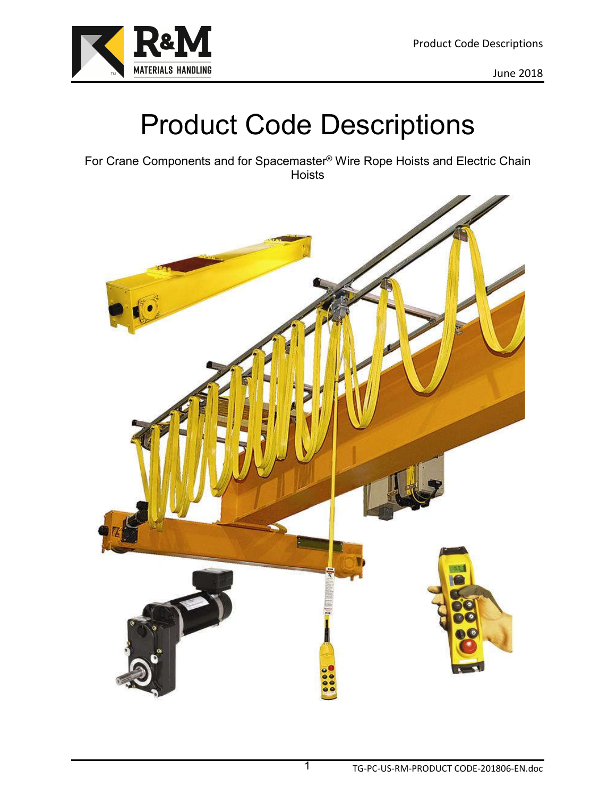

# Product Code Descriptions

For Crane Components and for Spacemaster® Wire Rope Hoists and Electric Chain Hoists

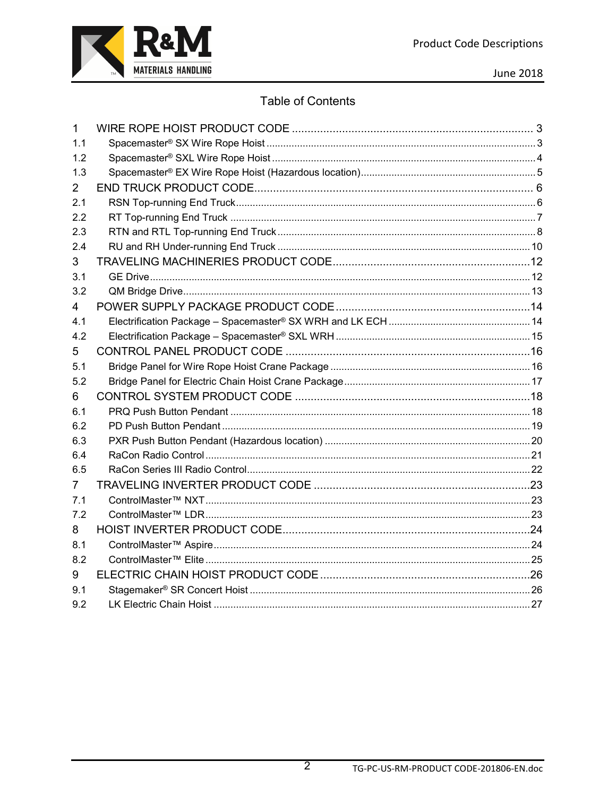

**June 2018** 

#### **Table of Contents**

| 1   |  |
|-----|--|
| 1.1 |  |
| 1.2 |  |
| 1.3 |  |
| 2   |  |
| 2.1 |  |
| 2.2 |  |
| 2.3 |  |
| 2.4 |  |
| 3   |  |
| 3.1 |  |
| 3.2 |  |
| 4   |  |
| 4.1 |  |
| 4.2 |  |
| 5   |  |
| 5.1 |  |
| 5.2 |  |
| 6   |  |
| 6.1 |  |
| 6.2 |  |
| 6.3 |  |
| 6.4 |  |
| 6.5 |  |
| 7   |  |
| 7.1 |  |
| 7.2 |  |
| 8   |  |
| 8.1 |  |
| 8.2 |  |
| 9   |  |
| 9.1 |  |
| 9.2 |  |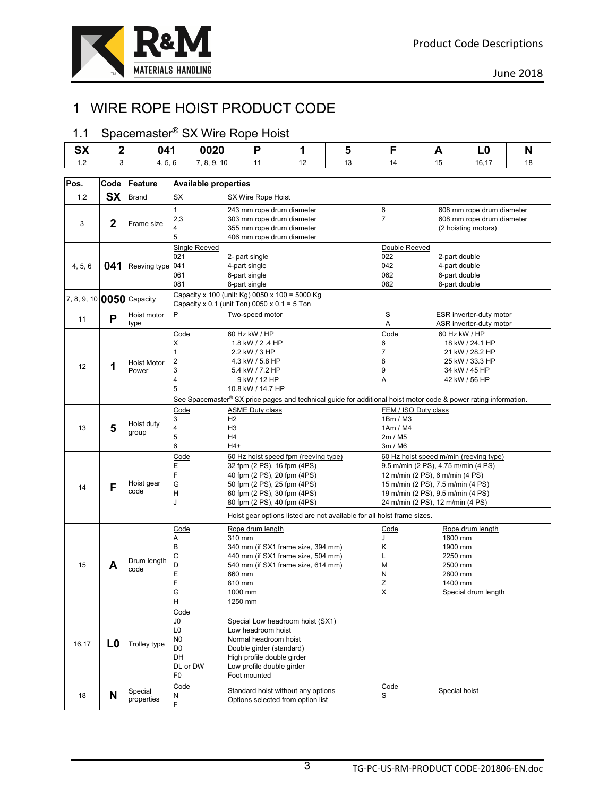

# 1 WIRE ROPE HOIST PRODUCT CODE

# 1.1 Spacemaster® SX Wire Rope Hoist

| <b>SX</b>                             | $\mathbf 2$                                                               | 041                                                                                                    |                                              | 0020                             | P                                                                                                               | 1  | 5  | F<br>L <sub>0</sub><br>A                |                                                                      | N                                                  |    |  |
|---------------------------------------|---------------------------------------------------------------------------|--------------------------------------------------------------------------------------------------------|----------------------------------------------|----------------------------------|-----------------------------------------------------------------------------------------------------------------|----|----|-----------------------------------------|----------------------------------------------------------------------|----------------------------------------------------|----|--|
| 1,2                                   | 3                                                                         | 4, 5, 6                                                                                                |                                              | 7, 8, 9, 10                      | 11                                                                                                              | 12 | 13 | 14                                      | 15                                                                   | 16,17                                              | 18 |  |
|                                       |                                                                           |                                                                                                        |                                              |                                  |                                                                                                                 |    |    |                                         |                                                                      |                                                    |    |  |
| Pos.                                  | Code                                                                      | Feature                                                                                                |                                              | <b>Available properties</b>      |                                                                                                                 |    |    |                                         |                                                                      |                                                    |    |  |
| 1,2                                   | <b>SX</b>                                                                 | <b>Brand</b>                                                                                           | SX                                           |                                  | SX Wire Rope Hoist                                                                                              |    |    |                                         |                                                                      |                                                    |    |  |
|                                       |                                                                           |                                                                                                        | 1                                            |                                  | 243 mm rope drum diameter                                                                                       |    |    | 6<br>$\overline{7}$                     |                                                                      | 608 mm rope drum diameter                          |    |  |
| 3                                     | $\mathbf{2}$                                                              | Frame size                                                                                             | 2,3<br>4                                     |                                  | 303 mm rope drum diameter<br>355 mm rope drum diameter                                                          |    |    |                                         |                                                                      | 608 mm rope drum diameter<br>(2 hoisting motors)   |    |  |
|                                       |                                                                           |                                                                                                        | 5                                            |                                  | 406 mm rope drum diameter                                                                                       |    |    |                                         |                                                                      |                                                    |    |  |
|                                       |                                                                           |                                                                                                        |                                              | Single Reeved                    |                                                                                                                 |    |    | Double Reeved                           |                                                                      |                                                    |    |  |
|                                       |                                                                           |                                                                                                        | 2- part single<br>021<br>042                 |                                  |                                                                                                                 |    |    |                                         | 022<br>2-part double                                                 |                                                    |    |  |
| 4, 5, 6                               | 041                                                                       | Reeving type                                                                                           | 041<br>4-part single<br>061<br>6-part single |                                  |                                                                                                                 |    |    | 4-part double<br>062<br>6-part double   |                                                                      |                                                    |    |  |
|                                       |                                                                           |                                                                                                        | 081                                          |                                  | 8-part single                                                                                                   |    |    | 082                                     | 8-part double                                                        |                                                    |    |  |
| 7, 8, 9, 10 0050 Capacity             |                                                                           |                                                                                                        |                                              |                                  | Capacity x 100 (unit: Kg) 0050 x 100 = 5000 Kg                                                                  |    |    |                                         |                                                                      |                                                    |    |  |
|                                       |                                                                           |                                                                                                        |                                              |                                  | Capacity x 0.1 (unit Ton) 0050 x 0.1 = 5 Ton                                                                    |    |    |                                         |                                                                      |                                                    |    |  |
| 11                                    | P                                                                         | Hoist motor<br>type                                                                                    | P                                            |                                  | Two-speed motor                                                                                                 |    |    | S<br>A                                  |                                                                      | ESR inverter-duty motor<br>ASR inverter-duty motor |    |  |
|                                       |                                                                           |                                                                                                        | Code                                         |                                  | 60 Hz kW / HP                                                                                                   |    |    | Code                                    |                                                                      | 60 Hz kW / HP                                      |    |  |
|                                       |                                                                           |                                                                                                        | Χ                                            |                                  | 1.8 kW / 2 .4 HP                                                                                                |    |    | 18 kW / 24.1 HP<br>6                    |                                                                      |                                                    |    |  |
|                                       |                                                                           |                                                                                                        |                                              |                                  | 2.2 kW / 3 HP                                                                                                   |    |    | 7<br>21 kW / 28.2 HP<br>25 kW / 33.3 HP |                                                                      |                                                    |    |  |
| 12                                    | 1                                                                         | 8<br>2<br>4.3 kW / 5.8 HP<br><b>Hoist Motor</b><br>9<br>Power<br>3<br>5.4 kW / 7.2 HP<br>34 kW / 45 HP |                                              |                                  |                                                                                                                 |    |    |                                         |                                                                      |                                                    |    |  |
|                                       |                                                                           | A<br>4<br>9 kW / 12 HP                                                                                 |                                              |                                  |                                                                                                                 |    |    |                                         | 42 kW / 56 HP                                                        |                                                    |    |  |
|                                       |                                                                           |                                                                                                        | 5                                            |                                  | 10.8 kW / 14.7 HP                                                                                               |    |    |                                         |                                                                      |                                                    |    |  |
|                                       |                                                                           |                                                                                                        |                                              |                                  | See Spacemaster® SX price pages and technical guide for additional hoist motor code & power rating information. |    |    |                                         |                                                                      |                                                    |    |  |
|                                       |                                                                           |                                                                                                        | Code                                         |                                  | <b>ASME Duty class</b>                                                                                          |    |    | FEM / ISO Duty class                    |                                                                      |                                                    |    |  |
| 13                                    | 5                                                                         | Hoist duty                                                                                             | 3<br>4                                       | H <sub>2</sub><br>H <sub>3</sub> |                                                                                                                 |    |    | 1Bm / M3<br>1Am / M4                    |                                                                      |                                                    |    |  |
|                                       |                                                                           | group                                                                                                  | 5                                            | H4                               |                                                                                                                 |    |    | 2m / M5                                 |                                                                      |                                                    |    |  |
|                                       |                                                                           |                                                                                                        | 6                                            | $H4+$                            |                                                                                                                 |    |    | 3m / M6                                 |                                                                      |                                                    |    |  |
|                                       |                                                                           |                                                                                                        | Code                                         |                                  | 60 Hz hoist speed fpm (reeving type)                                                                            |    |    | 60 Hz hoist speed m/min (reeving type)  |                                                                      |                                                    |    |  |
|                                       |                                                                           |                                                                                                        | Е<br>F                                       |                                  | 32 fpm (2 PS), 16 fpm (4PS)                                                                                     |    |    |                                         | 9.5 m/min (2 PS), 4.75 m/min (4 PS)                                  |                                                    |    |  |
|                                       |                                                                           | Hoist gear                                                                                             | G                                            |                                  | 40 fpm (2 PS), 20 fpm (4PS)<br>50 fpm (2 PS), 25 fpm (4PS)                                                      |    |    |                                         | 12 m/min (2 PS), 6 m/min (4 PS)<br>15 m/min (2 PS), 7.5 m/min (4 PS) |                                                    |    |  |
| 14                                    | F                                                                         | code                                                                                                   | H                                            |                                  | 60 fpm (2 PS), 30 fpm (4PS)                                                                                     |    |    |                                         | 19 m/min (2 PS), 9.5 m/min (4 PS)                                    |                                                    |    |  |
|                                       |                                                                           |                                                                                                        | J                                            |                                  | 80 fpm (2 PS), 40 fpm (4PS)                                                                                     |    |    |                                         | 24 m/min (2 PS), 12 m/min (4 PS)                                     |                                                    |    |  |
|                                       |                                                                           |                                                                                                        |                                              |                                  | Hoist gear options listed are not available for all hoist frame sizes.                                          |    |    |                                         |                                                                      |                                                    |    |  |
|                                       |                                                                           |                                                                                                        | Code                                         |                                  | Rope drum length                                                                                                |    |    | Code                                    |                                                                      | Rope drum length                                   |    |  |
|                                       |                                                                           |                                                                                                        | Α<br>B                                       |                                  | 310 mm                                                                                                          |    |    | Κ                                       | 1600 mm<br>1900 mm                                                   |                                                    |    |  |
|                                       |                                                                           |                                                                                                        | С                                            |                                  | 340 mm (if SX1 frame size, 394 mm)<br>440 mm (if SX1 frame size, 504 mm)                                        |    |    |                                         | 2250 mm                                                              |                                                    |    |  |
| 15                                    | A                                                                         | Drum length<br>code                                                                                    | D                                            |                                  | 540 mm (if SX1 frame size, 614 mm)                                                                              |    |    | М                                       | 2500 mm                                                              |                                                    |    |  |
|                                       |                                                                           |                                                                                                        | E                                            |                                  | 660 mm                                                                                                          |    |    | Ν                                       | 2800 mm                                                              |                                                    |    |  |
|                                       |                                                                           |                                                                                                        | F<br>G                                       |                                  | 810 mm<br>1000 mm                                                                                               |    |    | Z                                       | 1400 mm                                                              | Special drum length                                |    |  |
|                                       |                                                                           |                                                                                                        | H                                            |                                  | 1250 mm                                                                                                         |    |    |                                         |                                                                      |                                                    |    |  |
|                                       |                                                                           |                                                                                                        | Code                                         |                                  |                                                                                                                 |    |    |                                         |                                                                      |                                                    |    |  |
|                                       |                                                                           |                                                                                                        | JO                                           |                                  | Special Low headroom hoist (SX1)                                                                                |    |    |                                         |                                                                      |                                                    |    |  |
|                                       |                                                                           |                                                                                                        | L0                                           |                                  | Low headroom hoist                                                                                              |    |    |                                         |                                                                      |                                                    |    |  |
| 16,17                                 | L0                                                                        | Trolley type                                                                                           | N <sub>0</sub><br>D <sub>0</sub>             |                                  | Normal headroom hoist<br>Double girder (standard)                                                               |    |    |                                         |                                                                      |                                                    |    |  |
|                                       | DH<br>High profile double girder                                          |                                                                                                        |                                              |                                  |                                                                                                                 |    |    |                                         |                                                                      |                                                    |    |  |
| DL or DW<br>Low profile double girder |                                                                           |                                                                                                        |                                              |                                  |                                                                                                                 |    |    |                                         |                                                                      |                                                    |    |  |
|                                       |                                                                           |                                                                                                        | F0                                           |                                  | Foot mounted                                                                                                    |    |    |                                         |                                                                      |                                                    |    |  |
|                                       |                                                                           | Special                                                                                                | Code                                         |                                  | Standard hoist without any options                                                                              |    |    | Code                                    | Special hoist                                                        |                                                    |    |  |
|                                       | N<br>S<br>18<br>N<br>properties<br>Options selected from option list<br>F |                                                                                                        |                                              |                                  |                                                                                                                 |    |    |                                         |                                                                      |                                                    |    |  |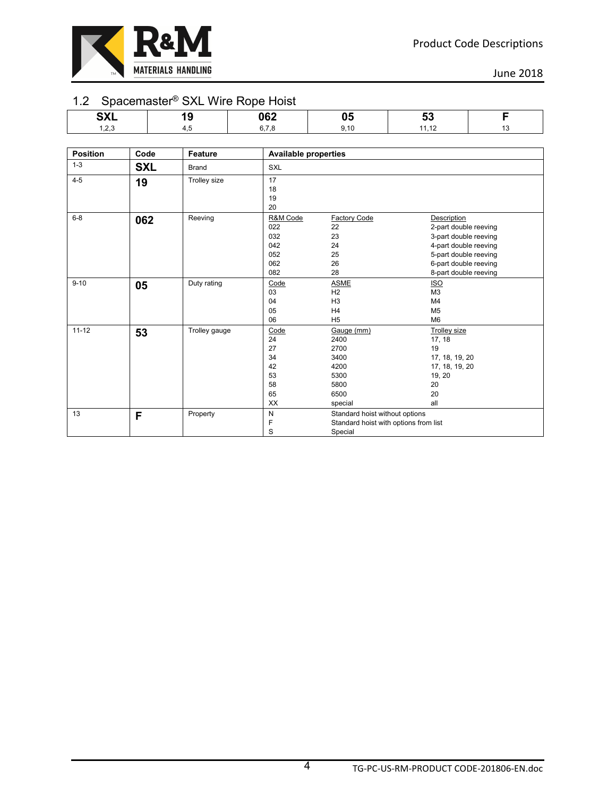

#### 1.2 Spacemaster® SXL Wire Rope Hoist

| - - - - - - - - -    | _____ | __<br>.          |                |  |
|----------------------|-------|------------------|----------------|--|
| <b>OVI</b>           | ×     | <b>062</b><br>∼∽ | v.             |  |
| $\sim$ $\sim$ $\sim$ |       |                  | $\overline{A}$ |  |

| <b>Position</b> | Code       | Feature       | <b>Available properties</b>                          |                                                                                    |                                                                                                                                                                   |
|-----------------|------------|---------------|------------------------------------------------------|------------------------------------------------------------------------------------|-------------------------------------------------------------------------------------------------------------------------------------------------------------------|
| $1 - 3$         | <b>SXL</b> | <b>Brand</b>  | SXL                                                  |                                                                                    |                                                                                                                                                                   |
| $4 - 5$         | 19         | Trolley size  | 17<br>18<br>19<br>20                                 |                                                                                    |                                                                                                                                                                   |
| $6-8$           | 062        | Reeving       | R&M Code<br>022<br>032<br>042<br>052<br>062<br>082   | <b>Factory Code</b><br>22<br>23<br>24<br>25<br>26<br>28                            | Description<br>2-part double reeving<br>3-part double reeving<br>4-part double reeving<br>5-part double reeving<br>6-part double reeving<br>8-part double reeving |
| $9 - 10$        | 05         | Duty rating   | Code<br>03<br>04<br>05<br>06                         | <b>ASME</b><br>H <sub>2</sub><br>H <sub>3</sub><br>H4<br>H <sub>5</sub>            | <b>ISO</b><br>M <sub>3</sub><br>M <sub>4</sub><br>M <sub>5</sub><br>M <sub>6</sub>                                                                                |
| $11 - 12$       | 53         | Trolley gauge | Code<br>24<br>27<br>34<br>42<br>53<br>58<br>65<br>XX | Gauge (mm)<br>2400<br>2700<br>3400<br>4200<br>5300<br>5800<br>6500<br>special      | <b>Trolley size</b><br>17, 18<br>19<br>17, 18, 19, 20<br>17, 18, 19, 20<br>19, 20<br>20<br>20<br>all                                                              |
| 13              | F          | Property      | ${\sf N}$<br>F<br>S                                  | Standard hoist without options<br>Standard hoist with options from list<br>Special |                                                                                                                                                                   |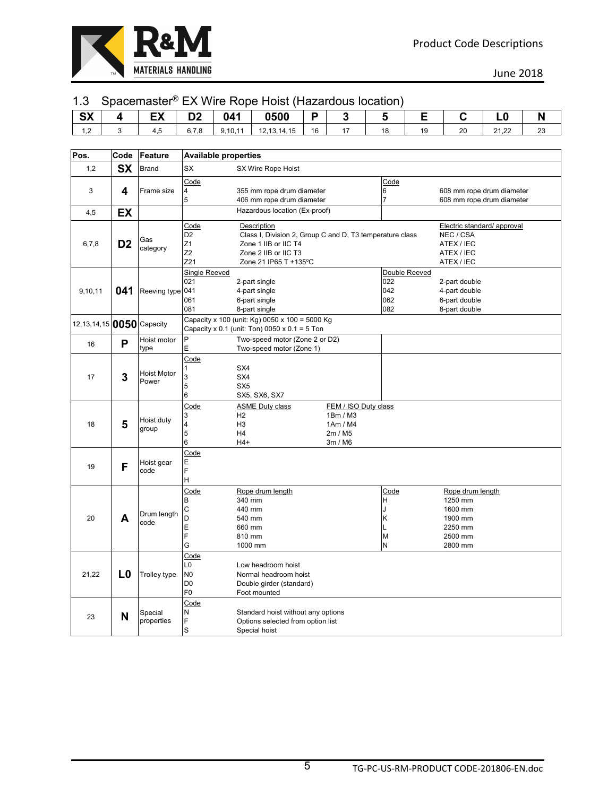

#### 1.3 Spacemaster® EX Wire Rope Hoist (Hazardous location)

| $\sim$<br>9Y             | -w<br>∽ |              | 041    | <b>0500</b>     |    |    |    |    |                |              |
|--------------------------|---------|--------------|--------|-----------------|----|----|----|----|----------------|--------------|
| $\sim$<br>$\overline{1}$ | ⊤.∪     | ◡.<br>$\sim$ | 9,10,1 | .3,14,15<br>14. | 16 | 10 | 10 | 20 | 24.22<br>21.ZZ | $\sim$<br>ںے |

| Pos.                         | Code           | Feature                     |                                                                  | <b>Available properties</b>                                                                                                                      |                                                                    |                                           |                                                                                    |  |  |  |
|------------------------------|----------------|-----------------------------|------------------------------------------------------------------|--------------------------------------------------------------------------------------------------------------------------------------------------|--------------------------------------------------------------------|-------------------------------------------|------------------------------------------------------------------------------------|--|--|--|
| 1,2                          | <b>SX</b>      | <b>Brand</b>                | SX                                                               | SX Wire Rope Hoist                                                                                                                               |                                                                    |                                           |                                                                                    |  |  |  |
| 3<br>4,5                     | 4<br>EX        | Frame size                  | Code<br>4<br>5                                                   | 355 mm rope drum diameter<br>406 mm rope drum diameter<br>Hazardous location (Ex-proof)                                                          |                                                                    | Code<br>6<br>$\overline{7}$               | 608 mm rope drum diameter<br>608 mm rope drum diameter                             |  |  |  |
| 6,7,8                        | D <sub>2</sub> | Gas<br>category             | Code<br>D <sub>2</sub><br>Z1<br>Z <sub>2</sub><br>Z21            | Description<br>Class I, Division 2, Group C and D, T3 temperature class<br>Zone 1 IIB or IIC T4<br>Zone 2 IIB or IIC T3<br>Zone 21 IP65 T +135°C |                                                                    |                                           | Electric standard/ approval<br>NEC / CSA<br>ATEX / IEC<br>ATEX / IEC<br>ATEX / IEC |  |  |  |
| 9,10,11                      | 041            | Reeving type 041            | <b>Single Reeved</b><br>021<br>061<br>081                        | 2-part single<br>4-part single<br>6-part single<br>8-part single                                                                                 |                                                                    | Double Reeved<br>022<br>042<br>062<br>082 | 2-part double<br>4-part double<br>6-part double<br>8-part double                   |  |  |  |
| 12, 13, 14, 15 0050 Capacity |                |                             |                                                                  | Capacity x 100 (unit: Kg) 0050 x 100 = 5000 Kg<br>Capacity x 0.1 (unit: Ton) 0050 x 0.1 = 5 Ton                                                  |                                                                    |                                           |                                                                                    |  |  |  |
| 16                           | P              | Hoist motor<br>type         | P<br>E                                                           | Two-speed motor (Zone 2 or D2)<br>Two-speed motor (Zone 1)                                                                                       |                                                                    |                                           |                                                                                    |  |  |  |
| 17                           | 3              | <b>Hoist Motor</b><br>Power | Code<br>1<br>3<br>5<br>6                                         | SX4<br>SX4<br>SX <sub>5</sub><br>SX5, SX6, SX7                                                                                                   |                                                                    |                                           |                                                                                    |  |  |  |
| 18                           | 5              | Hoist duty<br>group         | Code<br>3<br>4<br>5<br>6                                         | <b>ASME Duty class</b><br>H <sub>2</sub><br>H <sub>3</sub><br>H4<br>$H4+$                                                                        | FEM / ISO Duty class<br>1Bm / M3<br>1Am / M4<br>2m / M5<br>3m / M6 |                                           |                                                                                    |  |  |  |
| 19                           | F              | Hoist gear<br>code          | Code<br>E<br>F<br>Η                                              |                                                                                                                                                  |                                                                    |                                           |                                                                                    |  |  |  |
| 20                           | A              | Drum length<br>code         | Code<br>В<br>C<br>D<br>E<br>F<br>G                               | Rope drum length<br>340 mm<br>440 mm<br>540 mm<br>660 mm<br>810 mm<br>1000 mm                                                                    |                                                                    | Code<br>н<br>J<br>κ<br>M<br>N             | Rope drum length<br>1250 mm<br>1600 mm<br>1900 mm<br>2250 mm<br>2500 mm<br>2800 mm |  |  |  |
| 21,22                        | L <sub>0</sub> | <b>Trolley type</b>         | Code<br>L <sub>0</sub><br>N0<br>D <sub>0</sub><br>F <sub>0</sub> | Low headroom hoist<br>Normal headroom hoist<br>Double girder (standard)<br>Foot mounted                                                          |                                                                    |                                           |                                                                                    |  |  |  |
| 23                           | N              | Special<br>properties       | Code<br>N<br>F<br>S                                              | Standard hoist without any options<br>Options selected from option list<br>Special hoist                                                         |                                                                    |                                           |                                                                                    |  |  |  |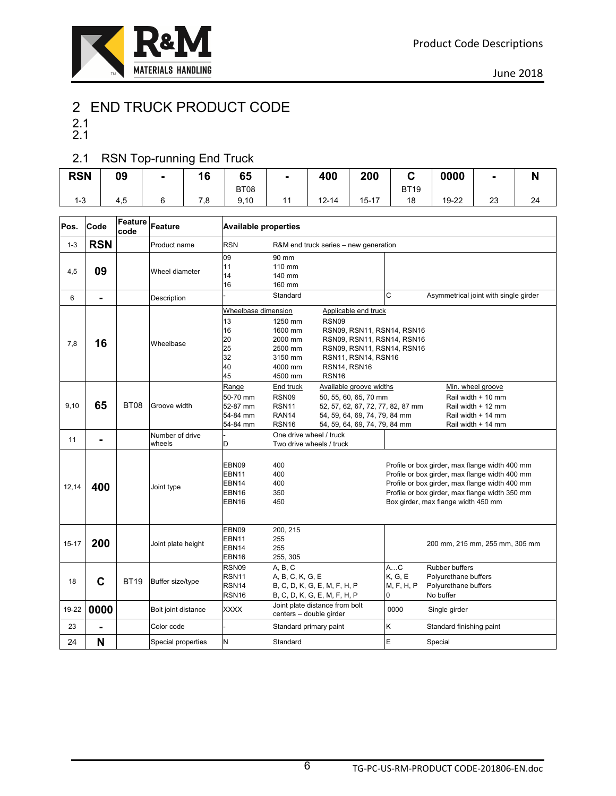

# 2 END TRUCK PRODUCT CODE

- 2.1
- 2.1

#### 2.1 RSN Top-running End Truck

|            |     |                | _        |             |           |           |             |       |                |    |
|------------|-----|----------------|----------|-------------|-----------|-----------|-------------|-------|----------------|----|
| <b>RSN</b> | 09  | $\blacksquare$ | 16       | 65          | 400       | 200       | ∽           | 0000  | $\blacksquare$ |    |
|            |     |                |          | <b>BT08</b> |           |           | <b>BT19</b> |       |                |    |
| د- ا       | 4,5 |                | 70<br>.o | 9,10        | $12 - 14$ | $15 - 17$ | 18          | 19-22 | 23<br>__       | 24 |

| Pos.      | Code           | <b>Feature</b><br>code | Feature                   | <b>Available properties</b>                                          |                                                                                             |                                                                                                                                                                                                 |                                  |                                                                                                                                                                                                                                             |  |  |
|-----------|----------------|------------------------|---------------------------|----------------------------------------------------------------------|---------------------------------------------------------------------------------------------|-------------------------------------------------------------------------------------------------------------------------------------------------------------------------------------------------|----------------------------------|---------------------------------------------------------------------------------------------------------------------------------------------------------------------------------------------------------------------------------------------|--|--|
| $1 - 3$   | <b>RSN</b>     |                        | Product name              | <b>RSN</b>                                                           |                                                                                             | R&M end truck series – new generation                                                                                                                                                           |                                  |                                                                                                                                                                                                                                             |  |  |
| 4,5       | 09             |                        | Wheel diameter            | 09<br>11<br>14<br>16                                                 | 90 mm<br>110 mm<br>140 mm<br>160 mm                                                         |                                                                                                                                                                                                 |                                  |                                                                                                                                                                                                                                             |  |  |
| 6         | $\blacksquare$ |                        | Description               |                                                                      | Standard                                                                                    |                                                                                                                                                                                                 | C                                | Asymmetrical joint with single girder                                                                                                                                                                                                       |  |  |
| 7,8       | 16             |                        | Wheelbase                 | Wheelbase dimension<br>13<br>16<br>20<br>25<br>32<br>40<br>45        | 1250 mm<br>1600 mm<br>2000 mm<br>2500 mm<br>3150 mm<br>4000 mm<br>4500 mm                   | Applicable end truck<br>RSN <sub>09</sub><br>RSN09, RSN11, RSN14, RSN16<br>RSN09, RSN11, RSN14, RSN16<br>RSN09, RSN11, RSN14, RSN16<br>RSN11, RSN14, RSN16<br>RSN14, RSN16<br>RSN <sub>16</sub> |                                  |                                                                                                                                                                                                                                             |  |  |
| 9,10      | 65             | <b>BT08</b>            | Groove width              | Range<br>50-70 mm<br>52-87 mm<br>54-84 mm<br>54-84 mm                | End truck<br>RSN09<br><b>RSN11</b><br>RAN <sub>14</sub><br>RSN <sub>16</sub>                | Available groove widths<br>50, 55, 60, 65, 70 mm<br>52, 57, 62, 67, 72, 77, 82, 87 mm<br>54, 59, 64, 69, 74, 79, 84 mm<br>54, 59, 64, 69, 74, 79, 84 mm                                         |                                  | Min. wheel groove<br>Rail width + 10 mm<br>Rail width + 12 mm<br>Rail width + 14 mm<br>Rail width + 14 mm                                                                                                                                   |  |  |
| 11        | $\blacksquare$ |                        | Number of drive<br>wheels | D                                                                    | One drive wheel / truck<br>Two drive wheels / truck                                         |                                                                                                                                                                                                 |                                  |                                                                                                                                                                                                                                             |  |  |
| 12,14     | 400            |                        | Joint type                | EBN09<br>EBN11<br>EBN <sub>14</sub><br>EBN16<br>EBN16                | 400<br>400<br>400<br>350<br>450                                                             |                                                                                                                                                                                                 |                                  | Profile or box girder, max flange width 400 mm<br>Profile or box girder, max flange width 400 mm<br>Profile or box girder, max flange width 400 mm<br>Profile or box girder, max flange width 350 mm<br>Box girder, max flange width 450 mm |  |  |
| $15 - 17$ | 200            |                        | Joint plate height        | EBN09<br>EBN11<br>EBN14<br>EBN16                                     | 200, 215<br>255<br>255<br>255, 305                                                          |                                                                                                                                                                                                 |                                  | 200 mm, 215 mm, 255 mm, 305 mm                                                                                                                                                                                                              |  |  |
| 18        | $\mathbf C$    | <b>BT19</b>            | Buffer size/type          | RSN09<br>RSN <sub>11</sub><br>RSN <sub>14</sub><br>RSN <sub>16</sub> | A, B, C<br>A, B, C, K, G, E<br>B, C, D, K, G, E, M, F, H, P<br>B, C, D, K, G, E, M, F, H, P |                                                                                                                                                                                                 | AC<br>K, G, E<br>M, F, H, P<br>0 | <b>Rubber buffers</b><br>Polyurethane buffers<br>Polyurethane buffers<br>No buffer                                                                                                                                                          |  |  |
| 19-22     | 0000           |                        | Bolt joint distance       | XXXX                                                                 | centers - double girder                                                                     | Joint plate distance from bolt                                                                                                                                                                  | 0000                             | Single girder                                                                                                                                                                                                                               |  |  |
| 23        |                |                        | Color code                |                                                                      | Standard primary paint                                                                      |                                                                                                                                                                                                 | Κ                                | Standard finishing paint                                                                                                                                                                                                                    |  |  |
| 24        | N              |                        | Special properties        | N                                                                    | Standard                                                                                    |                                                                                                                                                                                                 | E                                | Special                                                                                                                                                                                                                                     |  |  |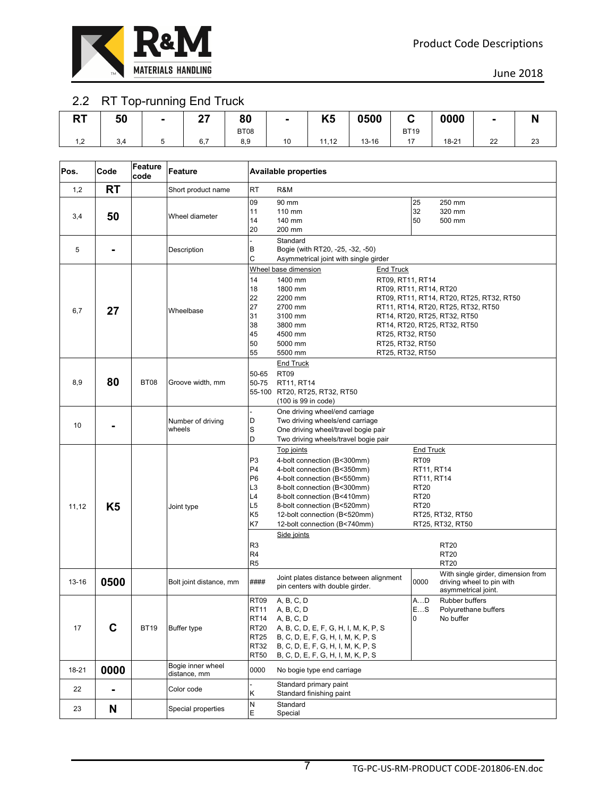

### 2.2 RT Top-running End Truck

| nт<br>n i | 50             | $\blacksquare$ | ^7<br>. . | 80   | $\blacksquare$ | <b>VE</b><br>rυ | 0500      |             | 0000             |    | IV |
|-----------|----------------|----------------|-----------|------|----------------|-----------------|-----------|-------------|------------------|----|----|
|           |                |                |           | BT08 |                |                 |           | <b>BT19</b> |                  |    |    |
| ے, ا      | $\sim$<br>-3.4 |                | 6.7       | 8,9  | 10             | 11,12<br>11     | $13 - 16$ |             | $18 - 21$<br>___ | 22 | 23 |

| Pos.      | Code           | Feature<br>code | Feature                           |                                                                                                                                        | <b>Available properties</b>                                                                                                                                                                                                                                                                                                                                                                      |  |                                                                                                   |                                                                                        |  |  |
|-----------|----------------|-----------------|-----------------------------------|----------------------------------------------------------------------------------------------------------------------------------------|--------------------------------------------------------------------------------------------------------------------------------------------------------------------------------------------------------------------------------------------------------------------------------------------------------------------------------------------------------------------------------------------------|--|---------------------------------------------------------------------------------------------------|----------------------------------------------------------------------------------------|--|--|
| 1,2       | RT             |                 | Short product name                | <b>RT</b>                                                                                                                              | R&M                                                                                                                                                                                                                                                                                                                                                                                              |  |                                                                                                   |                                                                                        |  |  |
| 3,4       | 50             |                 | Wheel diameter                    | 09<br>11<br>14<br>20                                                                                                                   | 90 mm<br>110 mm<br>140 mm<br>200 mm                                                                                                                                                                                                                                                                                                                                                              |  | 25<br>32<br>50                                                                                    | 250 mm<br>320 mm<br>500 mm                                                             |  |  |
| 5         |                |                 | Description                       | B<br>C                                                                                                                                 | Standard<br>Bogie (with RT20, -25, -32, -50)<br>Asymmetrical joint with single girder                                                                                                                                                                                                                                                                                                            |  |                                                                                                   |                                                                                        |  |  |
| 6,7       | 27             |                 | Wheelbase                         | 14<br>18<br>22<br>27<br>31<br>38<br>45<br>50<br>55                                                                                     | Wheel base dimension<br>End Truck<br>1400 mm<br>RT09, RT11, RT14<br>1800 mm<br>RT09, RT11, RT14, RT20<br>2200 mm<br>RT09, RT11, RT14, RT20, RT25, RT32, RT50<br>2700 mm<br>RT11, RT14, RT20, RT25, RT32, RT50<br>3100 mm<br>RT14, RT20, RT25, RT32, RT50<br>3800 mm<br>RT14, RT20, RT25, RT32, RT50<br>4500 mm<br>RT25, RT32, RT50<br>5000 mm<br>RT25, RT32, RT50<br>5500 mm<br>RT25, RT32, RT50 |  |                                                                                                   |                                                                                        |  |  |
| 8,9       | 80             | <b>BT08</b>     | Groove width, mm                  | 50-65<br>50-75                                                                                                                         | <b>End Truck</b><br><b>RT09</b><br>RT11, RT14<br>55-100 RT20, RT25, RT32, RT50<br>(100 is 99 in code)                                                                                                                                                                                                                                                                                            |  |                                                                                                   |                                                                                        |  |  |
| 10        |                |                 | Number of driving<br>wheels       | D<br>S<br>D                                                                                                                            | One driving wheel/end carriage<br>Two driving wheels/end carriage<br>One driving wheel/travel bogie pair<br>Two driving wheels/travel bogie pair                                                                                                                                                                                                                                                 |  |                                                                                                   |                                                                                        |  |  |
| 11,12     | K <sub>5</sub> |                 | Joint type                        | P <sub>3</sub><br>P <sub>4</sub><br>P <sub>6</sub><br>L3<br>L4<br>L5<br>K5<br>K7<br>R <sub>3</sub><br>R <sub>4</sub><br>R <sub>5</sub> | Top joints<br>4-bolt connection (B<300mm)<br>4-bolt connection (B<350mm)<br>4-bolt connection (B<550mm)<br>8-bolt connection (B<300mm)<br>8-bolt connection (B<410mm)<br>8-bolt connection (B<520mm)<br>12-bolt connection (B<520mm)<br>12-bolt connection (B<740mm)<br>Side joints                                                                                                              |  | End Truck<br><b>RT09</b><br>RT11, RT14<br>RT11, RT14<br><b>RT20</b><br><b>RT20</b><br><b>RT20</b> | RT25, RT32, RT50<br>RT25, RT32, RT50<br><b>RT20</b><br><b>RT20</b><br><b>RT20</b>      |  |  |
| $13 - 16$ | 0500           |                 | Bolt joint distance, mm           | ####                                                                                                                                   | Joint plates distance between alignment<br>pin centers with double girder.                                                                                                                                                                                                                                                                                                                       |  | 0000                                                                                              | With single girder, dimension from<br>driving wheel to pin with<br>asymmetrical joint. |  |  |
| 17        | C              | <b>BT19</b>     | Buffer type                       | RT <sub>09</sub><br><b>RT11</b><br><b>RT14</b><br><b>RT20</b><br><b>RT25</b><br><b>RT32</b><br><b>RT50</b>                             | A, B, C, D<br>A, B, C, D<br>A, B, C, D<br>A, B, C, D, E, F, G, H, I, M, K, P, S<br>B, C, D, E, F, G, H, I, M, K, P, S<br>B, C, D, E, F, G, H, I, M, K, P, S<br>B, C, D, E, F, G, H, I, M, K, P, S                                                                                                                                                                                                |  | A…D<br>ES<br>0                                                                                    | Rubber buffers<br>Polyurethane buffers<br>No buffer                                    |  |  |
| 18-21     | 0000           |                 | Bogie inner wheel<br>distance, mm | 0000                                                                                                                                   | No bogie type end carriage                                                                                                                                                                                                                                                                                                                                                                       |  |                                                                                                   |                                                                                        |  |  |
| 22        |                |                 | Color code                        | Κ                                                                                                                                      | Standard primary paint<br>Standard finishing paint                                                                                                                                                                                                                                                                                                                                               |  |                                                                                                   |                                                                                        |  |  |
| 23        | N              |                 | Special properties                | $\sf N$<br>E                                                                                                                           | Standard<br>Special                                                                                                                                                                                                                                                                                                                                                                              |  |                                                                                                   |                                                                                        |  |  |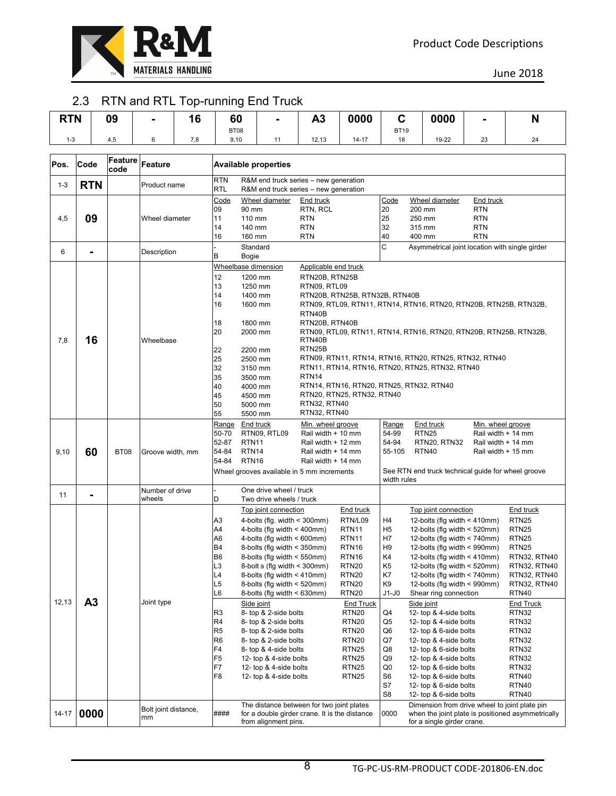

### 2.3 RTN and RTL Top-running End Truck

| <b>RTN</b> |                | 09          |                      | 16  | 60                               |                    | -                                                            | A3                                                                                                                                                       | 0000                                   | C<br>0000            |                                                                      |                                          | N                                      |
|------------|----------------|-------------|----------------------|-----|----------------------------------|--------------------|--------------------------------------------------------------|----------------------------------------------------------------------------------------------------------------------------------------------------------|----------------------------------------|----------------------|----------------------------------------------------------------------|------------------------------------------|----------------------------------------|
|            |                |             |                      |     | BT08                             |                    |                                                              |                                                                                                                                                          |                                        | <b>BT19</b>          |                                                                      |                                          |                                        |
| $1 - 3$    |                | 4,5         | 6                    | 7,8 | 9,10                             |                    | 11                                                           | 12,13                                                                                                                                                    | $14 - 17$                              | 18                   | 19-22                                                                | 23                                       | 24                                     |
|            |                | Feature     |                      |     |                                  |                    |                                                              |                                                                                                                                                          |                                        |                      |                                                                      |                                          |                                        |
| Pos.       | Code           | code        | Feature              |     |                                  |                    | <b>Available properties</b>                                  |                                                                                                                                                          |                                        |                      |                                                                      |                                          |                                        |
| $1 - 3$    | <b>RTN</b>     |             | Product name         |     | <b>RTN</b><br><b>RTL</b>         |                    |                                                              | R&M end truck series - new generation<br>R&M end truck series – new generation                                                                           |                                        |                      |                                                                      |                                          |                                        |
|            |                |             |                      |     | Code                             |                    | Wheel diameter                                               | End truck                                                                                                                                                |                                        | Code                 | Wheel diameter                                                       | <b>End truck</b>                         |                                        |
|            |                |             |                      |     | 09                               | 90 mm              |                                                              | RTN, RCL                                                                                                                                                 |                                        | 20                   | 200 mm                                                               | <b>RTN</b>                               |                                        |
| 4,5        | 09             |             | Wheel diameter       |     | 11<br>14                         | 110 mm<br>140 mm   |                                                              | <b>RTN</b><br><b>RTN</b>                                                                                                                                 |                                        | 25<br>32             | 250 mm<br>315 mm                                                     | <b>RTN</b><br><b>RTN</b>                 |                                        |
|            |                |             |                      |     | 16                               | 160 mm             |                                                              | <b>RTN</b>                                                                                                                                               |                                        | 40                   | 400 mm                                                               | <b>RTN</b>                               |                                        |
| 6          | $\blacksquare$ |             | Description          |     |                                  | Standard           |                                                              | C<br>Asymmetrical joint location with single girder                                                                                                      |                                        |                      |                                                                      |                                          |                                        |
|            |                |             |                      |     | в                                | Bogie              |                                                              |                                                                                                                                                          |                                        |                      |                                                                      |                                          |                                        |
|            |                |             |                      |     | Wheelbase dimension<br>12        | 1200 mm            |                                                              | Applicable end truck<br>RTN20B, RTN25B                                                                                                                   |                                        |                      |                                                                      |                                          |                                        |
|            |                |             |                      |     | 13                               | 1250 mm            |                                                              | RTN09, RTL09                                                                                                                                             |                                        |                      |                                                                      |                                          |                                        |
|            |                |             |                      |     | 14                               | 1400 mm            |                                                              | RTN20B, RTN25B, RTN32B, RTN40B                                                                                                                           |                                        |                      |                                                                      |                                          |                                        |
|            |                |             |                      |     | 16                               | 1600 mm            |                                                              |                                                                                                                                                          |                                        |                      | RTN09, RTL09, RTN11, RTN14, RTN16, RTN20, RTN20B, RTN25B, RTN32B,    |                                          |                                        |
|            |                |             |                      |     |                                  |                    |                                                              | RTN40B                                                                                                                                                   |                                        |                      |                                                                      |                                          |                                        |
|            |                |             |                      |     | 18                               | 1800 mm            |                                                              | RTN20B, RTN40B                                                                                                                                           |                                        |                      |                                                                      |                                          |                                        |
| 7,8        | 16             |             | Wheelbase            |     | 20                               | 2000 mm            |                                                              | RTN09, RTL09, RTN11, RTN14, RTN16, RTN20, RTN20B, RTN25B, RTN32B,<br>RTN40B                                                                              |                                        |                      |                                                                      |                                          |                                        |
|            |                |             |                      |     | 22                               | 2200 mm            |                                                              | RTN25B                                                                                                                                                   |                                        |                      |                                                                      |                                          |                                        |
|            |                |             |                      |     | 25                               | 2500 mm            |                                                              | RTN09, RTN11, RTN14, RTN16, RTN20, RTN25, RTN32, RTN40                                                                                                   |                                        |                      |                                                                      |                                          |                                        |
|            |                |             |                      |     | 32                               | 3150 mm            |                                                              | RTN11, RTN14, RTN16, RTN20, RTN25, RTN32, RTN40                                                                                                          |                                        |                      |                                                                      |                                          |                                        |
|            |                |             |                      |     | 35                               | 3500 mm            |                                                              | RTN <sub>14</sub>                                                                                                                                        |                                        |                      |                                                                      |                                          |                                        |
|            |                |             |                      |     | 40<br>45                         | 4000 mm<br>4500 mm |                                                              |                                                                                                                                                          | RTN20, RTN25, RTN32, RTN40             |                      | RTN14, RTN16, RTN20, RTN25, RTN32, RTN40                             |                                          |                                        |
|            |                |             |                      |     | 50                               | 5000 mm            |                                                              | RTN32, RTN40                                                                                                                                             |                                        |                      |                                                                      |                                          |                                        |
|            |                |             |                      |     | 55                               | 5500 mm            |                                                              | RTN32, RTN40                                                                                                                                             |                                        |                      |                                                                      |                                          |                                        |
|            |                |             |                      |     | Range                            | End truck          |                                                              | Min. wheel groove                                                                                                                                        |                                        | Range                | End truck                                                            | Min. wheel groove                        |                                        |
|            |                |             |                      |     | 50-70<br>52-87                   | RTN <sub>11</sub>  | RTN09, RTL09                                                 | Rail width + 10 mm<br>Rail width + 12 mm                                                                                                                 |                                        | 54-99<br>54-94       | <b>RTN25</b><br>RTN20, RTN32                                         | Rail width + 14 mm<br>Rail width + 14 mm |                                        |
| 9,10       | 60             | <b>BT08</b> | Groove width, mm     |     | 54-84                            | RTN <sub>14</sub>  |                                                              | Rail width + 14 mm                                                                                                                                       |                                        | 55-105               | <b>RTN40</b>                                                         | Rail width + 15 mm                       |                                        |
|            |                |             |                      |     | 54-84                            | RTN <sub>16</sub>  |                                                              | Rail width + 14 mm                                                                                                                                       |                                        |                      |                                                                      |                                          |                                        |
|            |                |             |                      |     |                                  |                    |                                                              | Wheel grooves available in 5 mm increments                                                                                                               |                                        | width rules          | See RTN end truck technical guide for wheel groove                   |                                          |                                        |
| 11         | $\blacksquare$ |             | Number of drive      |     |                                  |                    | One drive wheel / truck                                      |                                                                                                                                                          |                                        |                      |                                                                      |                                          |                                        |
|            |                |             | wheels               |     | D                                |                    | Two drive wheels / truck                                     |                                                                                                                                                          |                                        |                      |                                                                      |                                          |                                        |
|            |                |             |                      |     |                                  |                    | Top joint connection                                         |                                                                                                                                                          | <b>End truck</b>                       |                      | Top joint connection                                                 |                                          | End truck                              |
|            |                |             |                      |     | A3<br>A4                         |                    | 4-bolts (flg. width < 300mm)<br>4-bolts (flg width < 400mm)  |                                                                                                                                                          | RTN/L09<br>RTN <sub>11</sub>           | H4<br>H <sub>5</sub> | 12-bolts (flg width $\leq 410$ mm)<br>12-bolts (flg width $<$ 520mm) |                                          | RTN <sub>25</sub><br>RTN <sub>25</sub> |
|            |                |             |                      |     | A6                               |                    | 4-bolts (flg width $\leq 600$ mm)                            |                                                                                                                                                          | RTN <sub>11</sub>                      | H7                   | 12-bolts (flg width < 740mm)                                         |                                          | RTN <sub>25</sub>                      |
|            |                |             |                      |     | <b>B4</b>                        |                    | 8-bolts (flg width < 350mm)                                  |                                                                                                                                                          | RTN <sub>16</sub>                      | H <sub>9</sub>       | 12-bolts (flg width < 990mm)                                         |                                          | RTN <sub>25</sub>                      |
|            |                |             |                      |     | <b>B6</b>                        |                    | 8-bolts (flg width < 550mm)                                  |                                                                                                                                                          | RTN <sub>16</sub>                      | K4                   | 12-bolts (flg width $\leq 410$ mm)                                   |                                          | RTN32, RTN40                           |
|            |                |             |                      |     | L <sub>3</sub>                   |                    | 8-bolt s (flg width $\leq$ 300mm)                            |                                                                                                                                                          | RTN <sub>20</sub>                      | K5                   | 12-bolts (flg width $<$ 520mm)                                       |                                          | RTN32, RTN40                           |
|            |                |             |                      |     | L4<br>L5                         |                    | 8-bolts (fig width $<$ 410mm)<br>8-bolts (fig width < 520mm) |                                                                                                                                                          | <b>RTN20</b><br><b>RTN20</b>           | K7<br>K9             | 12-bolts (flg width $<$ 740mm)<br>12-bolts (flg width < 990mm)       |                                          | RTN32, RTN40<br>RTN32, RTN40           |
|            |                |             |                      |     | L6                               |                    | 8-bolts (fig width $\leq 630$ mm)                            |                                                                                                                                                          | <b>RTN20</b>                           | J1-J0                | Shear ring connection                                                |                                          | RTN40                                  |
| 12,13      | A <sub>3</sub> |             | Joint type           |     |                                  | Side joint         |                                                              |                                                                                                                                                          | <b>End Truck</b>                       |                      | Side joint                                                           |                                          | <b>End Truck</b>                       |
|            |                |             |                      |     | R <sub>3</sub>                   |                    | 8- top & 2-side bolts                                        |                                                                                                                                                          | RTN <sub>20</sub>                      | Q4                   | 12- top & 4-side bolts                                               |                                          | RTN32                                  |
|            |                |             |                      |     | R4                               |                    | 8- top & 2-side bolts                                        |                                                                                                                                                          | RTN <sub>20</sub>                      | Q5                   | 12- top & 4-side bolts                                               |                                          | RTN32                                  |
|            |                |             |                      |     | R <sub>5</sub><br>R <sub>6</sub> |                    | 8- top & 2-side bolts<br>8- top & 2-side bolts               |                                                                                                                                                          | RTN <sub>20</sub><br>RTN <sub>20</sub> | Q6<br>Q7             | 12- top & 6-side bolts<br>12- top & 4-side bolts                     |                                          | RTN32<br>RTN32                         |
|            |                |             |                      |     | F4                               |                    | 8- top & 4-side bolts                                        |                                                                                                                                                          | RTN <sub>25</sub>                      | Q8                   | 12- top & 6-side bolts                                               |                                          | RTN32                                  |
|            |                |             |                      |     | F <sub>5</sub>                   |                    | 12- top & 4-side bolts                                       |                                                                                                                                                          | RTN <sub>25</sub>                      | Q9                   | 12- top & 4-side bolts                                               |                                          | RTN32                                  |
|            |                |             |                      |     | F7                               |                    | 12- top & 4-side bolts                                       | RTN <sub>25</sub>                                                                                                                                        |                                        | Q0                   | 12- top & 6-side bolts                                               |                                          | RTN32                                  |
|            |                |             |                      |     | F8                               |                    | 12- top & 4-side bolts                                       |                                                                                                                                                          | RTN <sub>25</sub>                      | S6                   | 12- top & 6-side bolts                                               |                                          | RTN40                                  |
|            |                |             |                      |     |                                  |                    |                                                              |                                                                                                                                                          |                                        | S7                   | 12- top & 6-side bolts                                               |                                          | RTN40                                  |
|            |                |             |                      |     |                                  |                    |                                                              |                                                                                                                                                          |                                        | S8                   | 12- top & 6-side bolts                                               |                                          | RTN40                                  |
| 14-17      | 0000           |             | Bolt joint distance, |     | ####                             |                    |                                                              | The distance between for two joint plates                                                                                                                |                                        | 0000                 | Dimension from drive wheel to joint plate pin                        |                                          |                                        |
|            |                |             | mm                   |     |                                  |                    |                                                              | for a double girder crane. It is the distance<br>when the joint plate is positioned asymmetrically<br>from alignment pins.<br>for a single girder crane. |                                        |                      |                                                                      |                                          |                                        |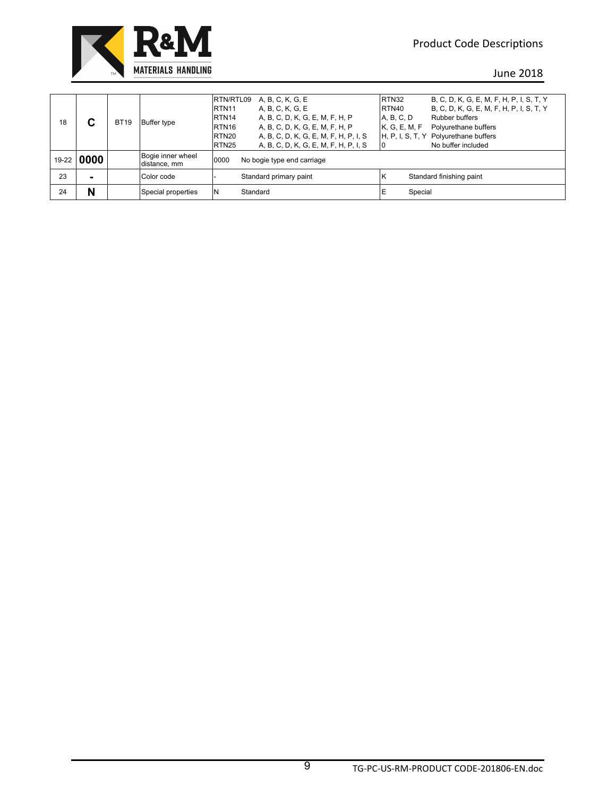

| 18    | С    | <b>BT19</b> | Buffer type                       | RTN/RTL09<br>RTN <sub>11</sub><br>RTN <sub>14</sub><br>RTN <sub>16</sub><br>RTN <sub>20</sub><br>RTN <sub>25</sub> | A, B, C, K, G, E<br>A, B, C, K, G, E<br>A, B, C, D, K, G, E, M, F, H, P<br>A, B, C, D, K, G, E, M, F, H, P<br>A, B, C, D, K, G, E, M, F, H, P, I, S<br>A, B, C, D, K, G, E, M, F, H, P, I, S | RTN32<br>RTN40<br>A, B, C, D<br>K, G, E, M, F | B, C, D, K, G, E, M, F, H, P, I, S, T, Y<br>B, C, D, K, G, E, M, F, H, P, I, S, T, Y<br>Rubber buffers<br>Polyurethane buffers<br>H, P, I, S, T, Y Polyurethane buffers<br>No buffer included |
|-------|------|-------------|-----------------------------------|--------------------------------------------------------------------------------------------------------------------|----------------------------------------------------------------------------------------------------------------------------------------------------------------------------------------------|-----------------------------------------------|-----------------------------------------------------------------------------------------------------------------------------------------------------------------------------------------------|
| 19-22 | 0000 |             | Bogie inner wheel<br>distance, mm | 0000                                                                                                               | No bogie type end carriage                                                                                                                                                                   |                                               |                                                                                                                                                                                               |
| 23    | -    |             | Color code                        |                                                                                                                    | Standard primary paint                                                                                                                                                                       | ΙK                                            | Standard finishing paint                                                                                                                                                                      |
| 24    | N    |             | Special properties                | IN.                                                                                                                | Standard                                                                                                                                                                                     | IE<br>Special                                 |                                                                                                                                                                                               |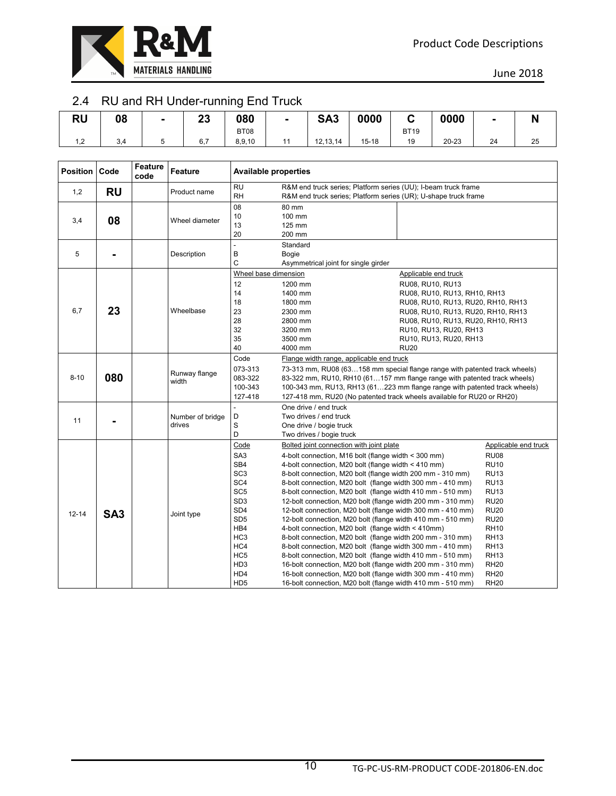

# 2.4 RU and RH Under-running End Truck

| DL.<br>שמ | 08  | $\blacksquare$ | n n<br>δJ<br>____ | 080         | SA <sub>3</sub> | 0000      | -<br>v      | 0000  |    | ш  |
|-----------|-----|----------------|-------------------|-------------|-----------------|-----------|-------------|-------|----|----|
|           |     |                |                   | <b>BT08</b> |                 |           | <b>BT19</b> |       |    |    |
| ے,        | 3,4 |                | 6.7               | 8,9,10      | 12, 13, 14      | $15 - 18$ | 19          | 20-23 | 24 | 25 |

| <b>Position Code</b> |                 | Feature<br>code | Feature                    | <b>Available properties</b>                                                                                                                                                                                                                       |                                                                                                                                                                                                                                                                                                                                                                                                                                                                                                                                                                                                                                                                                                                                                                                                                                                                                                                                                                                            |                                                                                                                                                                                                                                                               |                                                                                                                                                                                                                                                       |
|----------------------|-----------------|-----------------|----------------------------|---------------------------------------------------------------------------------------------------------------------------------------------------------------------------------------------------------------------------------------------------|--------------------------------------------------------------------------------------------------------------------------------------------------------------------------------------------------------------------------------------------------------------------------------------------------------------------------------------------------------------------------------------------------------------------------------------------------------------------------------------------------------------------------------------------------------------------------------------------------------------------------------------------------------------------------------------------------------------------------------------------------------------------------------------------------------------------------------------------------------------------------------------------------------------------------------------------------------------------------------------------|---------------------------------------------------------------------------------------------------------------------------------------------------------------------------------------------------------------------------------------------------------------|-------------------------------------------------------------------------------------------------------------------------------------------------------------------------------------------------------------------------------------------------------|
| 1,2                  | <b>RU</b>       |                 | Product name               | <b>RU</b><br><b>RH</b>                                                                                                                                                                                                                            | R&M end truck series; Platform series (UU); I-beam truck frame                                                                                                                                                                                                                                                                                                                                                                                                                                                                                                                                                                                                                                                                                                                                                                                                                                                                                                                             |                                                                                                                                                                                                                                                               |                                                                                                                                                                                                                                                       |
| 3,4                  | 08              |                 | Wheel diameter             | 08<br>10<br>13<br>20                                                                                                                                                                                                                              | R&M end truck series; Platform series (UR); U-shape truck frame<br>80 mm<br>100 mm<br>125 mm<br>200 mm                                                                                                                                                                                                                                                                                                                                                                                                                                                                                                                                                                                                                                                                                                                                                                                                                                                                                     |                                                                                                                                                                                                                                                               |                                                                                                                                                                                                                                                       |
| 5                    | $\blacksquare$  |                 | Description                | $\frac{1}{2}$<br>B<br>C                                                                                                                                                                                                                           | Standard<br>Bogie<br>Asymmetrical joint for single girder                                                                                                                                                                                                                                                                                                                                                                                                                                                                                                                                                                                                                                                                                                                                                                                                                                                                                                                                  |                                                                                                                                                                                                                                                               |                                                                                                                                                                                                                                                       |
| 6,7                  | 23              |                 | Wheelbase                  | Wheel base dimension<br>12<br>14<br>18<br>23<br>28<br>32<br>35<br>40                                                                                                                                                                              | 1200 mm<br>1400 mm<br>1800 mm<br>2300 mm<br>2800 mm<br>3200 mm<br>3500 mm<br>4000 mm                                                                                                                                                                                                                                                                                                                                                                                                                                                                                                                                                                                                                                                                                                                                                                                                                                                                                                       | Applicable end truck<br>RU08, RU10, RU13<br>RU08, RU10, RU13, RH10, RH13<br>RU08, RU10, RU13, RU20, RH10, RH13<br>RU08, RU10, RU13, RU20, RH10, RH13<br>RU08, RU10, RU13, RU20, RH10, RH13<br>RU10, RU13, RU20, RH13<br>RU10, RU13, RU20, RH13<br><b>RU20</b> |                                                                                                                                                                                                                                                       |
| $8 - 10$             | 080             |                 | Runway flange<br>width     | Code<br>073-313<br>083-322<br>100-343<br>127-418                                                                                                                                                                                                  | Flange width range, applicable end truck<br>73-313 mm, RU08 (63158 mm special flange range with patented track wheels)<br>83-322 mm, RU10, RH10 (61157 mm flange range with patented track wheels)<br>100-343 mm, RU13, RH13 (61223 mm flange range with patented track wheels)<br>127-418 mm, RU20 (No patented track wheels available for RU20 or RH20)                                                                                                                                                                                                                                                                                                                                                                                                                                                                                                                                                                                                                                  |                                                                                                                                                                                                                                                               |                                                                                                                                                                                                                                                       |
| 11                   |                 |                 | Number of bridge<br>drives | D<br>S<br>D                                                                                                                                                                                                                                       | One drive / end truck<br>Two drives / end truck<br>One drive / bogie truck<br>Two drives / bogie truck                                                                                                                                                                                                                                                                                                                                                                                                                                                                                                                                                                                                                                                                                                                                                                                                                                                                                     |                                                                                                                                                                                                                                                               |                                                                                                                                                                                                                                                       |
| $12 - 14$            | SA <sub>3</sub> |                 | Joint type                 | Code<br>SA <sub>3</sub><br>SB4<br>SC <sub>3</sub><br>SC <sub>4</sub><br>SC <sub>5</sub><br>SD <sub>3</sub><br>SD <sub>4</sub><br>SD <sub>5</sub><br>HB4<br>HC <sub>3</sub><br>HC4<br>HC <sub>5</sub><br>HD <sub>3</sub><br>HD4<br>HD <sub>5</sub> | Bolted joint connection with joint plate<br>4-bolt connection, M16 bolt (flange width < 300 mm)<br>4-bolt connection, M20 bolt (flange width < 410 mm)<br>8-bolt connection, M20 bolt (flange width 200 mm - 310 mm)<br>8-bolt connection, M20 bolt (flange width 300 mm - 410 mm)<br>8-bolt connection, M20 bolt (flange width 410 mm - 510 mm)<br>12-bolt connection, M20 bolt (flange width 200 mm - 310 mm)<br>12-bolt connection, M20 bolt (flange width 300 mm - 410 mm)<br>12-bolt connection, M20 bolt (flange width 410 mm - 510 mm)<br>4-bolt connection, M20 bolt (flange width < 410mm)<br>8-bolt connection, M20 bolt (flange width 200 mm - 310 mm)<br>8-bolt connection, M20 bolt (flange width 300 mm - 410 mm)<br>8-bolt connection, M20 bolt (flange width 410 mm - 510 mm)<br>16-bolt connection, M20 bolt (flange width 200 mm - 310 mm)<br>16-bolt connection, M20 bolt (flange width 300 mm - 410 mm)<br>16-bolt connection, M20 bolt (flange width 410 mm - 510 mm) |                                                                                                                                                                                                                                                               | Applicable end truck<br><b>RU08</b><br><b>RU10</b><br><b>RU13</b><br><b>RU13</b><br><b>RU13</b><br><b>RU20</b><br><b>RU20</b><br><b>RU20</b><br><b>RH10</b><br><b>RH13</b><br><b>RH13</b><br><b>RH13</b><br><b>RH20</b><br><b>RH20</b><br><b>RH20</b> |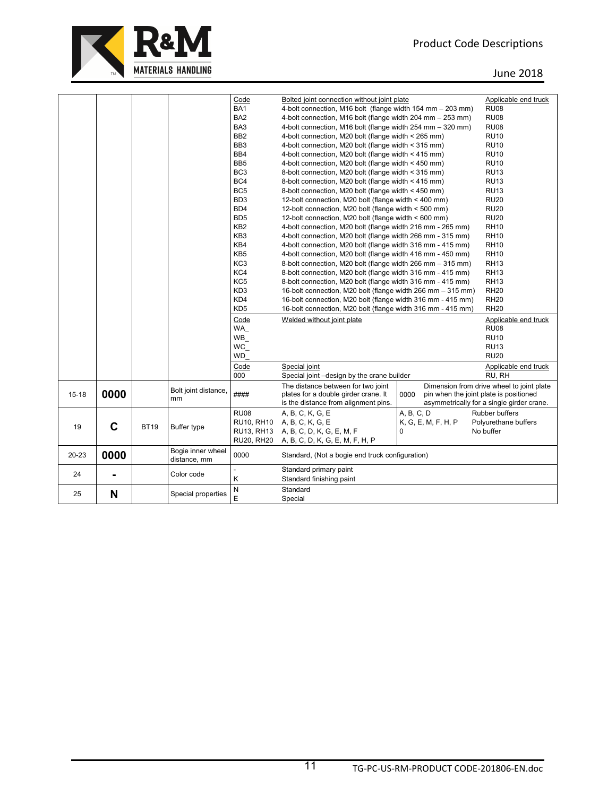

|           |                |             |                      | Code              | Bolted joint connection without joint plate                 |                                                | Applicable end truck                      |
|-----------|----------------|-------------|----------------------|-------------------|-------------------------------------------------------------|------------------------------------------------|-------------------------------------------|
|           |                |             |                      | BA <sub>1</sub>   | 4-bolt connection, M16 bolt (flange width 154 mm - 203 mm)  |                                                | <b>RU08</b>                               |
|           |                |             |                      | BA <sub>2</sub>   | 4-bolt connection, M16 bolt (flange width 204 mm - 253 mm)  |                                                | <b>RU08</b>                               |
|           |                |             |                      | BA3               | 4-bolt connection, M16 bolt (flange width 254 mm - 320 mm)  |                                                | <b>RU08</b>                               |
|           |                |             |                      | BB <sub>2</sub>   | 4-bolt connection, M20 bolt (flange width < 265 mm)         |                                                | <b>RU10</b>                               |
|           |                |             |                      | BB <sub>3</sub>   | 4-bolt connection, M20 bolt (flange width < 315 mm)         |                                                | <b>RU10</b>                               |
|           |                |             |                      | BB4               | 4-bolt connection, M20 bolt (flange width < 415 mm)         |                                                | <b>RU10</b>                               |
|           |                |             |                      | BB <sub>5</sub>   | 4-bolt connection, M20 bolt (flange width < 450 mm)         |                                                | <b>RU10</b>                               |
|           |                |             |                      | BC <sub>3</sub>   | 8-bolt connection, M20 bolt (flange width < 315 mm)         |                                                | <b>RU13</b>                               |
|           |                |             |                      | BC4               | 8-bolt connection, M20 bolt (flange width < 415 mm)         |                                                | <b>RU13</b>                               |
|           |                |             |                      | BC <sub>5</sub>   | 8-bolt connection, M20 bolt (flange width < 450 mm)         |                                                | <b>RU13</b>                               |
|           |                |             |                      | BD <sub>3</sub>   | 12-bolt connection, M20 bolt (flange width < 400 mm)        |                                                | <b>RU20</b>                               |
|           |                |             |                      | BD <sub>4</sub>   | 12-bolt connection, M20 bolt (flange width < 500 mm)        |                                                | <b>RU20</b>                               |
|           |                |             |                      | B <sub>D5</sub>   | 12-bolt connection, M20 bolt (flange width < 600 mm)        |                                                | <b>RU20</b>                               |
|           |                |             |                      | KB <sub>2</sub>   | 4-bolt connection, M20 bolt (flange width 216 mm - 265 mm)  |                                                | <b>RH10</b>                               |
|           |                |             |                      | KB <sub>3</sub>   | 4-bolt connection, M20 bolt (flange width 266 mm - 315 mm)  |                                                | <b>RH10</b>                               |
|           |                |             |                      | KB4               | 4-bolt connection, M20 bolt (flange width 316 mm - 415 mm)  |                                                | <b>RH10</b>                               |
|           |                |             |                      | KB <sub>5</sub>   | 4-bolt connection, M20 bolt (flange width 416 mm - 450 mm)  |                                                | <b>RH10</b>                               |
|           |                |             |                      | KC <sub>3</sub>   | 8-bolt connection, M20 bolt (flange width 266 mm - 315 mm)  |                                                | <b>RH13</b>                               |
|           |                |             |                      | KC4               | 8-bolt connection, M20 bolt (flange width 316 mm - 415 mm)  |                                                | <b>RH13</b>                               |
|           |                |             |                      | KC <sub>5</sub>   | 8-bolt connection, M20 bolt (flange width 316 mm - 415 mm)  |                                                | <b>RH13</b>                               |
|           |                |             |                      | KD <sub>3</sub>   | 16-bolt connection, M20 bolt (flange width 266 mm - 315 mm) |                                                | <b>RH20</b>                               |
|           |                |             |                      | KD4               | 16-bolt connection, M20 bolt (flange width 316 mm - 415 mm) |                                                | <b>RH20</b>                               |
|           |                |             |                      | KD <sub>5</sub>   | 16-bolt connection, M20 bolt (flange width 316 mm - 415 mm) |                                                | <b>RH20</b>                               |
|           |                |             |                      | Code              | Welded without joint plate                                  |                                                | Applicable end truck                      |
|           |                |             |                      | WA                |                                                             |                                                | <b>RU08</b>                               |
|           |                |             |                      | WB                |                                                             |                                                | <b>RU10</b>                               |
|           |                |             |                      | WC                |                                                             |                                                | <b>RU13</b>                               |
|           |                |             |                      | <b>WD</b>         |                                                             |                                                | <b>RU20</b>                               |
|           |                |             |                      | Code              | Special joint                                               |                                                | Applicable end truck                      |
|           |                |             |                      | 000               | Special joint -design by the crane builder                  |                                                | RU, RH                                    |
|           |                |             |                      |                   | The distance between for two joint                          |                                                | Dimension from drive wheel to joint plate |
| $15 - 18$ | 0000           |             | Bolt joint distance, | ####              | plates for a double girder crane. It                        | 0000<br>pin when the joint plate is positioned |                                           |
|           |                |             | mm                   |                   | is the distance from alignment pins.                        |                                                | asymmetrically for a single girder crane. |
|           |                |             |                      | <b>RU08</b>       | A, B, C, K, G, E                                            | A. B. C. D                                     | Rubber buffers                            |
|           |                |             |                      | <b>RU10, RH10</b> | A, B, C, K, G, E                                            | K, G, E, M, F, H, P                            | Polyurethane buffers                      |
| 19        | C              | <b>BT19</b> | Buffer type          | RU13, RH13        | A, B, C, D, K, G, E, M, F                                   | $\Omega$                                       | No buffer                                 |
|           |                |             |                      | <b>RU20, RH20</b> | A, B, C, D, K, G, E, M, F, H, P                             |                                                |                                           |
|           |                |             | Bogie inner wheel    |                   |                                                             |                                                |                                           |
| 20-23     | 0000           |             | distance, mm         | 0000              | Standard, (Not a bogie end truck configuration)             |                                                |                                           |
|           |                |             |                      |                   | Standard primary paint                                      |                                                |                                           |
| 24        | $\blacksquare$ |             | Color code           | Κ                 | Standard finishing paint                                    |                                                |                                           |
|           |                |             |                      |                   |                                                             |                                                |                                           |
| 25        | N              |             | Special properties   | N                 | Standard                                                    |                                                |                                           |
|           |                |             |                      | E                 | Special                                                     |                                                |                                           |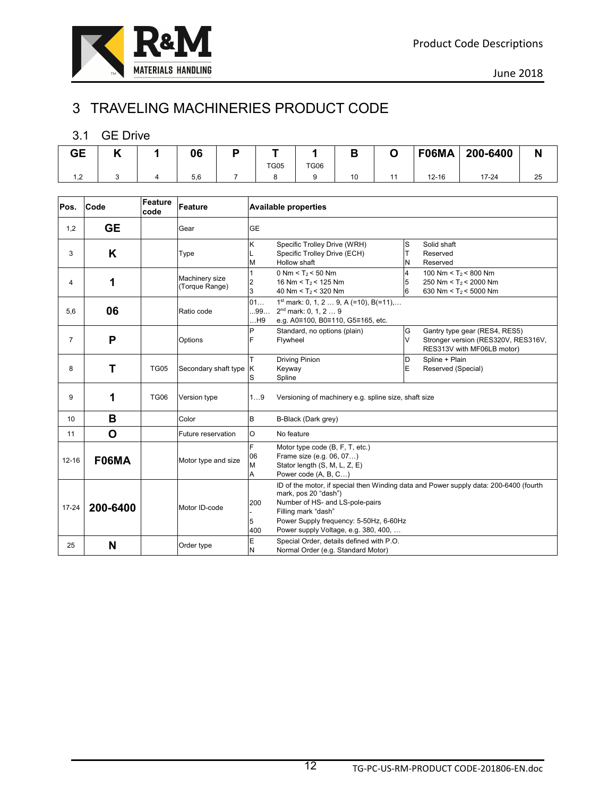# 3 TRAVELING MACHINERIES PRODUCT CODE

#### 3.1 GE Drive

| . . | 06  | D |             |             |    | F06MA     | 200-6400 | N  |
|-----|-----|---|-------------|-------------|----|-----------|----------|----|
|     |     |   | <b>TG05</b> | <b>TG06</b> |    |           |          |    |
|     | 5,6 |   |             |             | 10 | $12 - 16$ | $7 - 24$ | دے |

| Pos.           | Code      | Feature<br>code | <b>Feature</b>                   |                   | <b>Available properties</b>                                                                                                                                                                                                                               |                          |                                                                                                    |
|----------------|-----------|-----------------|----------------------------------|-------------------|-----------------------------------------------------------------------------------------------------------------------------------------------------------------------------------------------------------------------------------------------------------|--------------------------|----------------------------------------------------------------------------------------------------|
| 1,2            | <b>GE</b> |                 | Gear                             | <b>GE</b>         |                                                                                                                                                                                                                                                           |                          |                                                                                                    |
| 3              | K         |                 | Type                             | ĸ<br>М            | Specific Trolley Drive (WRH)<br>Specific Trolley Drive (ECH)<br>Hollow shaft                                                                                                                                                                              | S<br>T<br>N              | Solid shaft<br>Reserved<br>Reserved                                                                |
| 4              | 1         |                 | Machinery size<br>(Torque Range) | 2<br>3            | 0 Nm < $T_2$ < 50 Nm<br>16 Nm < $T_2$ < 125 Nm<br>40 Nm < $T_2$ < 320 Nm                                                                                                                                                                                  | $\overline{4}$<br>5<br>6 | 100 Nm < $T_2$ < 800 Nm<br>250 Nm < $T_2$ < 2000 Nm<br>630 Nm < $T_2$ < 5000 Nm                    |
| 5,6            | 06        |                 | Ratio code                       | 01<br>99<br>H9    | 1 <sup>st</sup> mark: 0, 1, 2  9, A (=10), B(=11),<br>$2nd$ mark: 0, 1, 2  9<br>e.g. A0≡100, B0≡110, G5≡165, etc.                                                                                                                                         |                          |                                                                                                    |
| $\overline{7}$ | P         |                 | Options                          | P<br>F            | Standard, no options (plain)<br>Flywheel                                                                                                                                                                                                                  | G<br>V                   | Gantry type gear (RES4, RES5)<br>Stronger version (RES320V, RES316V,<br>RES313V with MF06LB motor) |
| 8              | Т         | <b>TG05</b>     | Secondary shaft type             | K<br>S            | <b>Driving Pinion</b><br>Keyway<br>Spline                                                                                                                                                                                                                 | D<br>E                   | Spline + Plain<br>Reserved (Special)                                                               |
| 9              | 1         | <b>TG06</b>     | Version type                     | 19                | Versioning of machinery e.g. spline size, shaft size                                                                                                                                                                                                      |                          |                                                                                                    |
| 10             | B         |                 | Color                            | B                 | B-Black (Dark grey)                                                                                                                                                                                                                                       |                          |                                                                                                    |
| 11             | O         |                 | Future reservation               | O                 | No feature                                                                                                                                                                                                                                                |                          |                                                                                                    |
| $12 - 16$      | F06MA     |                 | Motor type and size              | F<br>06<br>M<br>Α | Motor type code (B, F, T, etc.)<br>Frame size (e.g. 06, 07)<br>Stator length (S, M, L, Z, E)<br>Power code (A, B, C)                                                                                                                                      |                          |                                                                                                    |
| $17 - 24$      | 200-6400  |                 | Motor ID-code                    | 200<br>5<br>400   | ID of the motor, if special then Winding data and Power supply data: 200-6400 (fourth<br>mark, pos 20 "dash")<br>Number of HS- and LS-pole-pairs<br>Filling mark "dash"<br>Power Supply frequency: 5-50Hz, 6-60Hz<br>Power supply Voltage, e.g. 380, 400, |                          |                                                                                                    |
| 25             | N         |                 | Order type                       | E<br>N            | Special Order, details defined with P.O.<br>Normal Order (e.g. Standard Motor)                                                                                                                                                                            |                          |                                                                                                    |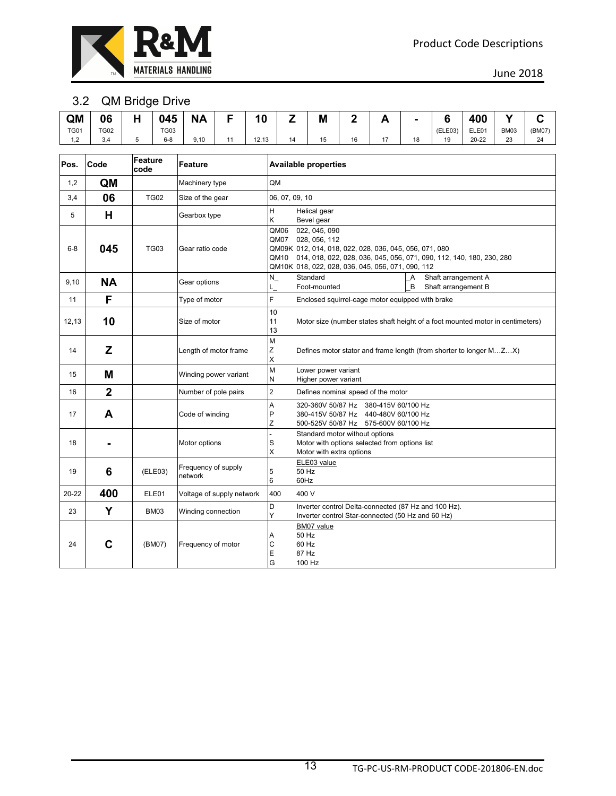

#### 3.2 QM Bridge Drive

|              |             | _          |             |                      |       |    |           |    |     |    |         |           |             |        |
|--------------|-------------|------------|-------------|----------------------|-------|----|-----------|----|-----|----|---------|-----------|-------------|--------|
| QM           | 06          | . .<br>. . | 045         | NΔ<br>$\blacksquare$ | 10    |    | M         | _  | . . | ٠  | $\sim$  | 400       |             |        |
| <b>TG01</b>  | <b>TG02</b> |            | <b>TG03</b> |                      |       |    |           |    |     |    | (ELE03) | ELE01     | <b>BM03</b> | (BM07) |
| 12<br>$\sim$ | 3.4         |            | $6 - 8$     | 9,10                 | 12,13 | 14 | 15<br>10. | 16 | 17  | 18 | 19      | $20 - 22$ | 23          | 24     |

| Pos.      | Code           | Feature<br>code | Feature                        | <b>Available properties</b>                                                                                                                                                                                                                |
|-----------|----------------|-----------------|--------------------------------|--------------------------------------------------------------------------------------------------------------------------------------------------------------------------------------------------------------------------------------------|
| 1,2       | QM             |                 | Machinery type                 | QM                                                                                                                                                                                                                                         |
| 3,4       | 06             | <b>TG02</b>     | Size of the gear               | 06, 07, 09, 10                                                                                                                                                                                                                             |
| 5         | Н              |                 | Gearbox type                   | H<br>Helical gear<br>ĸ<br>Bevel gear                                                                                                                                                                                                       |
| $6 - 8$   | 045            | <b>TG03</b>     | Gear ratio code                | 022, 045, 090<br>QM06<br>QM07<br>028, 056, 112<br>QM09K 012, 014, 018, 022, 028, 036, 045, 056, 071, 080<br>QM10 014, 018, 022, 028, 036, 045, 056, 071, 090, 112, 140, 180, 230, 280<br>QM10K 018, 022, 028, 036, 045, 056, 071, 090, 112 |
| 9,10      | <b>NA</b>      |                 | Gear options                   | Standard<br>Shaft arrangement A<br>$N_{-}$<br>A<br>B<br>Shaft arrangement B<br>Foot-mounted                                                                                                                                                |
| 11        | F              |                 | Type of motor                  | F<br>Enclosed squirrel-cage motor equipped with brake                                                                                                                                                                                      |
| 12,13     | 10             |                 | Size of motor                  | 10<br>11<br>Motor size (number states shaft height of a foot mounted motor in centimeters)<br>13                                                                                                                                           |
| 14        | Z              |                 | Length of motor frame          | M<br>Ζ<br>Defines motor stator and frame length (from shorter to longer MZX)<br>X                                                                                                                                                          |
| 15        | M              |                 | Winding power variant          | M<br>Lower power variant<br>N<br>Higher power variant                                                                                                                                                                                      |
| 16        | $\overline{2}$ |                 | Number of pole pairs           | $\overline{c}$<br>Defines nominal speed of the motor                                                                                                                                                                                       |
| 17        | A              |                 | Code of winding                | A<br>320-360V 50/87 Hz 380-415V 60/100 Hz<br>P<br>380-415V 50/87 Hz 440-480V 60/100 Hz<br>Z<br>500-525V 50/87 Hz 575-600V 60/100 Hz                                                                                                        |
| 18        |                |                 | Motor options                  | Standard motor without options<br>Motor with options selected from options list<br>S<br>X<br>Motor with extra options                                                                                                                      |
| 19        | 6              | (ELE03)         | Frequency of supply<br>network | ELE03 value<br>5<br>50 Hz<br>6<br>60Hz                                                                                                                                                                                                     |
| $20 - 22$ | 400            | ELE01           | Voltage of supply network      | 400<br>400 V                                                                                                                                                                                                                               |
| 23        | Y              | <b>BM03</b>     | Winding connection             | D<br>Inverter control Delta-connected (87 Hz and 100 Hz).<br>Y<br>Inverter control Star-connected (50 Hz and 60 Hz)                                                                                                                        |
| 24        | C              | (BM07)          | Frequency of motor             | BM07 value<br>50 Hz<br>A<br>С<br>60 Hz<br>E<br>87 Hz<br>G<br>100 Hz                                                                                                                                                                        |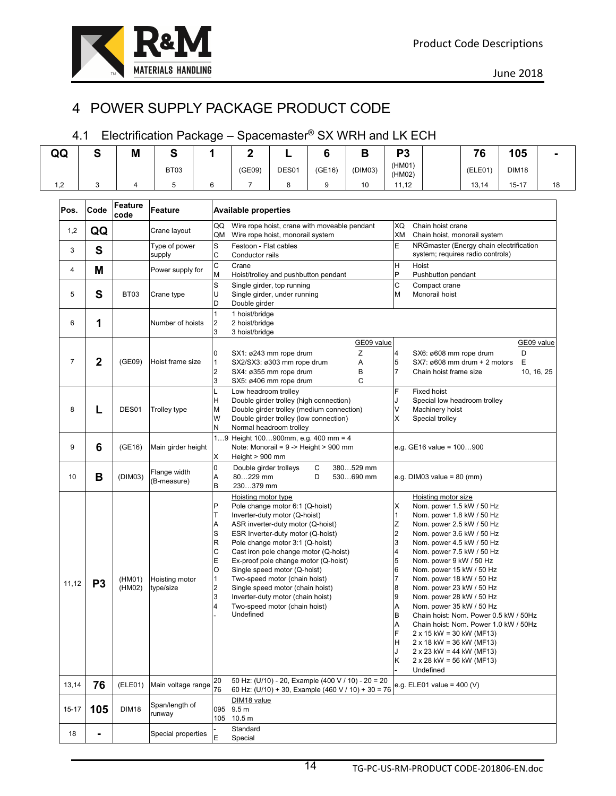# 4 POWER SUPPLY PACKAGE PRODUCT CODE

### 4.1 Electrification Package – Spacemaster® SX WRH and LK ECH

| QQ    | S              | M                | S                           | 1                                                                  | $\overline{2}$                                                                   |                                                                                                                                                                                                                                                                                                                                                                                                                                           | 6      | B                                                                                                        | P <sub>3</sub>                                                                                |                                                                                                                                                                                                                                                                                                                                                                                                                                                                                                                                                                                                                     | 76      | 105          |                          |
|-------|----------------|------------------|-----------------------------|--------------------------------------------------------------------|----------------------------------------------------------------------------------|-------------------------------------------------------------------------------------------------------------------------------------------------------------------------------------------------------------------------------------------------------------------------------------------------------------------------------------------------------------------------------------------------------------------------------------------|--------|----------------------------------------------------------------------------------------------------------|-----------------------------------------------------------------------------------------------|---------------------------------------------------------------------------------------------------------------------------------------------------------------------------------------------------------------------------------------------------------------------------------------------------------------------------------------------------------------------------------------------------------------------------------------------------------------------------------------------------------------------------------------------------------------------------------------------------------------------|---------|--------------|--------------------------|
|       |                |                  |                             |                                                                    |                                                                                  |                                                                                                                                                                                                                                                                                                                                                                                                                                           |        |                                                                                                          | (HM01)                                                                                        |                                                                                                                                                                                                                                                                                                                                                                                                                                                                                                                                                                                                                     |         |              |                          |
|       |                |                  | BT <sub>03</sub>            |                                                                    | (GE09)                                                                           | DES01                                                                                                                                                                                                                                                                                                                                                                                                                                     | (GE16) | (DIM03)                                                                                                  | (HM02)                                                                                        |                                                                                                                                                                                                                                                                                                                                                                                                                                                                                                                                                                                                                     | (ELE01) | <b>DIM18</b> |                          |
| 1,2   | 3              | 4                | 5                           | 6                                                                  | 7                                                                                | 8                                                                                                                                                                                                                                                                                                                                                                                                                                         | 9      | 10                                                                                                       | 11,12                                                                                         |                                                                                                                                                                                                                                                                                                                                                                                                                                                                                                                                                                                                                     | 13,14   | $15 - 17$    | 18                       |
| Pos.  | Code           | Feature<br>code  | Feature                     |                                                                    | <b>Available properties</b>                                                      |                                                                                                                                                                                                                                                                                                                                                                                                                                           |        |                                                                                                          |                                                                                               |                                                                                                                                                                                                                                                                                                                                                                                                                                                                                                                                                                                                                     |         |              |                          |
| 1,2   | QQ             |                  | Crane layout                | QQ<br>QM                                                           | Wire rope hoist, crane with moveable pendant<br>Wire rope hoist, monorail system |                                                                                                                                                                                                                                                                                                                                                                                                                                           |        |                                                                                                          | XQ<br>XM                                                                                      | Chain hoist crane<br>Chain hoist, monorail system                                                                                                                                                                                                                                                                                                                                                                                                                                                                                                                                                                   |         |              |                          |
| 3     | S              |                  | Type of power<br>supply     | S<br>C                                                             | Festoon - Flat cables<br>Conductor rails                                         |                                                                                                                                                                                                                                                                                                                                                                                                                                           |        |                                                                                                          | E                                                                                             | NRGmaster (Energy chain electrification<br>system; requires radio controls)                                                                                                                                                                                                                                                                                                                                                                                                                                                                                                                                         |         |              |                          |
| 4     | M              |                  | Power supply for            | C<br>M                                                             | Crane                                                                            | Hoist/trolley and pushbutton pendant                                                                                                                                                                                                                                                                                                                                                                                                      |        |                                                                                                          | H<br>P                                                                                        | Hoist<br>Pushbutton pendant                                                                                                                                                                                                                                                                                                                                                                                                                                                                                                                                                                                         |         |              |                          |
| 5     | S              | BT03             | Crane type                  | S<br>U<br>D                                                        | Double girder                                                                    | Single girder, top running<br>Single girder, under running                                                                                                                                                                                                                                                                                                                                                                                |        |                                                                                                          | C<br>M                                                                                        | Compact crane<br>Monorail hoist                                                                                                                                                                                                                                                                                                                                                                                                                                                                                                                                                                                     |         |              |                          |
| 6     | 1              |                  | Number of hoists            | 1<br>$\overline{2}$<br>3                                           | 1 hoist/bridge<br>2 hoist/bridge<br>3 hoist/bridge                               |                                                                                                                                                                                                                                                                                                                                                                                                                                           |        |                                                                                                          |                                                                                               |                                                                                                                                                                                                                                                                                                                                                                                                                                                                                                                                                                                                                     |         |              |                          |
| 7     | 2              | (GE09)           | Hoist frame size            | 0<br>1<br>2<br>3                                                   |                                                                                  | SX1: ø243 mm rope drum<br>SX2/SX3: ø303 mm rope drum<br>SX4: ø355 mm rope drum<br>SX5: ø406 mm rope drum                                                                                                                                                                                                                                                                                                                                  |        | GE09 value<br>Ζ<br>Α<br>В<br>C                                                                           | 4<br>5<br>$\overline{7}$                                                                      | SX6: ø608 mm rope drum<br>SX7: $\varnothing 608$ mm drum + 2 motors<br>Chain hoist frame size                                                                                                                                                                                                                                                                                                                                                                                                                                                                                                                       |         | D<br>Ε       | GE09 value<br>10, 16, 25 |
| 8     | L              | DES01            | Trolley type                | L<br>Н<br>M<br>W<br>N                                              | Low headroom trolley                                                             | Double girder trolley (high connection)<br>Double girder trolley (medium connection)<br>Double girder trolley (low connection)<br>Normal headroom trolley                                                                                                                                                                                                                                                                                 |        |                                                                                                          | F<br>J<br>V<br>X                                                                              | <b>Fixed hoist</b><br>Special low headroom trolley<br>Machinery hoist<br>Special trolley                                                                                                                                                                                                                                                                                                                                                                                                                                                                                                                            |         |              |                          |
| 9     | 6              | (GE16)           | Main girder height          | Χ                                                                  | 19 Height $100900$ mm, e.g. $400$ mm = 4<br>Height $> 900$ mm                    | Note: Monorail = 9 -> Height > 900 mm                                                                                                                                                                                                                                                                                                                                                                                                     |        |                                                                                                          |                                                                                               | e.g. GE16 value = $100900$                                                                                                                                                                                                                                                                                                                                                                                                                                                                                                                                                                                          |         |              |                          |
| 10    | в              | (DIM03)          | Flange width<br>(B-measure) | $\overline{0}$<br>А<br>B                                           | Double girder trolleys<br>80229 mm<br>230379 mm                                  |                                                                                                                                                                                                                                                                                                                                                                                                                                           | С<br>D | 380529 mm<br>530690 mm                                                                                   |                                                                                               | e.g. DIM03 value = $80$ (mm)                                                                                                                                                                                                                                                                                                                                                                                                                                                                                                                                                                                        |         |              |                          |
| 11,12 | P <sub>3</sub> | (HM01)<br>(HM02) | Hoisting motor<br>type/size | P<br>T<br>Α<br>S<br>$\mathsf R$<br>C<br>E<br>O<br>1<br>2<br>3<br>4 | Hoisting motor type<br>Undefined                                                 | Pole change motor 6:1 (Q-hoist)<br>Inverter-duty motor (Q-hoist)<br>ASR inverter-duty motor (Q-hoist)<br>ESR Inverter-duty motor (Q-hoist)<br>Pole change motor 3:1 (Q-hoist)<br>Cast iron pole change motor (Q-hoist)<br>Ex-proof pole change motor (Q-hoist)<br>Single speed motor (Q-hoist)<br>Two-speed motor (chain hoist)<br>Single speed motor (chain hoist)<br>Inverter-duty motor (chain hoist)<br>Two-speed motor (chain hoist) |        |                                                                                                          | X<br>1<br>Z<br>$\overline{\mathbf{c}}$<br>3<br>4<br>5<br>6<br>8<br>9<br>Α<br>B<br>A<br>H<br>Κ | Hoisting motor size<br>Nom. power 1.5 kW / 50 Hz<br>Nom. power 1.8 kW / 50 Hz<br>Nom. power 2.5 kW / 50 Hz<br>Nom. power 3.6 kW / 50 Hz<br>Nom. power 4.5 kW / 50 Hz<br>Nom. power 7.5 kW / 50 Hz<br>Nom. power 9 kW / 50 Hz<br>Nom. power 15 kW / 50 Hz<br>Nom. power 18 kW / 50 Hz<br>Nom. power 23 kW / 50 Hz<br>Nom. power 28 kW / 50 Hz<br>Nom. power 35 kW / 50 Hz<br>Chain hoist: Nom. Power 0.5 kW / 50Hz<br>Chain hoist: Nom. Power 1.0 kW / 50Hz<br>$2 \times 15$ kW = 30 kW (MF13)<br>$2 \times 18$ kW = 36 kW (MF13)<br>$2 \times 23$ kW = 44 kW (MF13)<br>$2 \times 28$ kW = 56 kW (MF13)<br>Undefined |         |              |                          |
| 13,14 | 76             | (ELE01)          | Main voltage range          | 20<br>76                                                           |                                                                                  |                                                                                                                                                                                                                                                                                                                                                                                                                                           |        | 50 Hz: (U/10) - 20, Example (400 V / 10) - 20 = 20<br>60 Hz: (U/10) + 30, Example (460 V / 10) + 30 = 76 |                                                                                               | e.g. ELE01 value = $400 (V)$                                                                                                                                                                                                                                                                                                                                                                                                                                                                                                                                                                                        |         |              |                          |
| 15-17 | 105            | <b>DIM18</b>     | Span/length of<br>runway    |                                                                    | DIM18 value<br>095 9.5 m<br>105 10.5 m                                           |                                                                                                                                                                                                                                                                                                                                                                                                                                           |        |                                                                                                          |                                                                                               |                                                                                                                                                                                                                                                                                                                                                                                                                                                                                                                                                                                                                     |         |              |                          |
| 18    |                |                  | Special properties          | E                                                                  | Standard<br>Special                                                              |                                                                                                                                                                                                                                                                                                                                                                                                                                           |        |                                                                                                          |                                                                                               |                                                                                                                                                                                                                                                                                                                                                                                                                                                                                                                                                                                                                     |         |              |                          |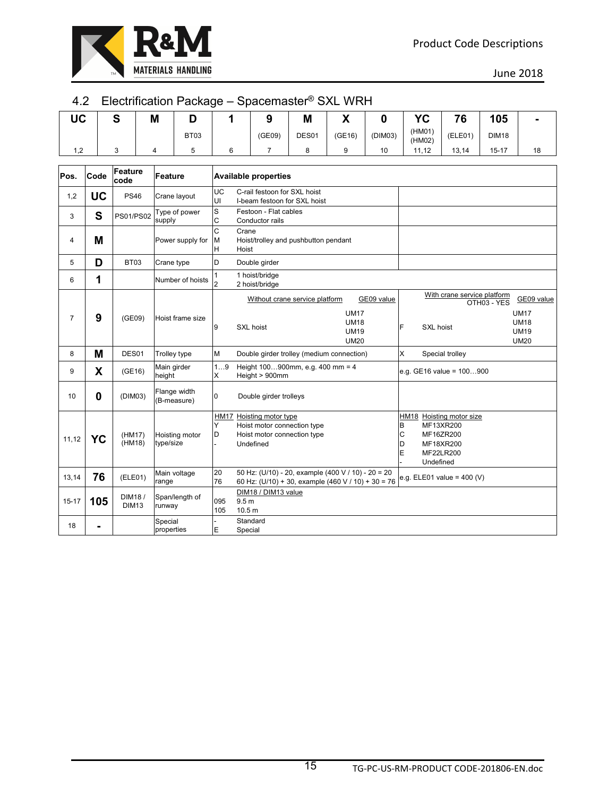

#### 4.2 Electrification Package – Spacemaster® SXL WRH

| UC | г<br>u | M | м    |        | M     | $\mathbf{v}$<br>. . |         | Vr               | 70      | 105          | $\overline{\phantom{a}}$ |
|----|--------|---|------|--------|-------|---------------------|---------|------------------|---------|--------------|--------------------------|
|    |        |   | BT03 | (GE09) | DES01 | (GE16)              | (DIM03) | (HM01)<br>(HM02) | (ELE01) | <b>DIM18</b> |                          |
| ົ  |        |   |      |        |       |                     | 10      | 11.12            | 13,14   | $15 - 17$    | 18                       |

| Pos.           | Code      | Feature<br>code        | Feature                     |                     | <b>Available properties</b>                                                                              |                                                                        |                  |                                                                                           |                                                                        |
|----------------|-----------|------------------------|-----------------------------|---------------------|----------------------------------------------------------------------------------------------------------|------------------------------------------------------------------------|------------------|-------------------------------------------------------------------------------------------|------------------------------------------------------------------------|
| 1,2            | <b>UC</b> | <b>PS46</b>            | Crane layout                | UC<br>UI            | C-rail festoon for SXL hoist<br>I-beam festoon for SXL hoist                                             |                                                                        |                  |                                                                                           |                                                                        |
| 3              | S         | <b>PS01/PS02</b>       | Type of power<br>supply     | S<br>C              | Festoon - Flat cables<br>Conductor rails                                                                 |                                                                        |                  |                                                                                           |                                                                        |
| 4              | M         |                        | Power supply for            | C<br>M<br>H         | Crane<br>Hoist/trolley and pushbutton pendant<br>Hoist                                                   |                                                                        |                  |                                                                                           |                                                                        |
| 5              | D         | BT03                   | Crane type                  | D                   | Double girder                                                                                            |                                                                        |                  |                                                                                           |                                                                        |
| 6              | 1         |                        | Number of hoists            | 1<br>$\overline{2}$ | 1 hoist/bridge<br>2 hoist/bridge                                                                         |                                                                        |                  |                                                                                           |                                                                        |
| $\overline{7}$ | 9         | (GE09)                 | Hoist frame size            | 9                   | Without crane service platform<br>SXL hoist                                                              | GE09 value<br><b>UM17</b><br><b>UM18</b><br><b>UM19</b><br><b>UM20</b> | F                | With crane service platform<br>OTH03 - YES<br>SXL hoist                                   | GE09 value<br><b>UM17</b><br><b>UM18</b><br><b>UM19</b><br><b>UM20</b> |
| 8              | M         | DES01                  | Trolley type                | M                   | Double girder trolley (medium connection)                                                                |                                                                        | X                | Special trolley                                                                           |                                                                        |
| 9              | X         | (GE16)                 | Main girder<br>height       | 19<br>X             | Height 100900mm, e.g. 400 mm = 4<br>Height > 900mm                                                       |                                                                        |                  | e.g. GE16 value = 100900                                                                  |                                                                        |
| 10             | 0         | (DIM03)                | Flange width<br>(B-measure) | $\Omega$            | Double girder trolleys                                                                                   |                                                                        |                  |                                                                                           |                                                                        |
| 11,12          | YC        | (HM17)<br>(HM18)       | Hoisting motor<br>type/size | Y<br>D              | HM17 Hoisting motor type<br>Hoist motor connection type<br>Hoist motor connection type<br>Undefined      |                                                                        | B<br>C<br>D<br>E | HM18 Hoisting motor size<br>MF13XR200<br>MF16ZR200<br>MF18XR200<br>MF22LR200<br>Undefined |                                                                        |
| 13,14          | 76        | (ELE01)                | Main voltage<br>range       | 20<br>76            | 50 Hz: (U/10) - 20, example (400 V / 10) - 20 = 20<br>60 Hz: (U/10) + 30, example (460 V / 10) + 30 = 76 |                                                                        |                  | e.g. ELE01 value = $400 (V)$                                                              |                                                                        |
| $15 - 17$      | 105       | DIM18/<br><b>DIM13</b> | Span/length of<br>runway    | 095<br>105          | DIM18 / DIM13 value<br>9.5 <sub>m</sub><br>10.5 <sub>m</sub>                                             |                                                                        |                  |                                                                                           |                                                                        |
| 18             |           |                        | Special<br>properties       | E                   | Standard<br>Special                                                                                      |                                                                        |                  |                                                                                           |                                                                        |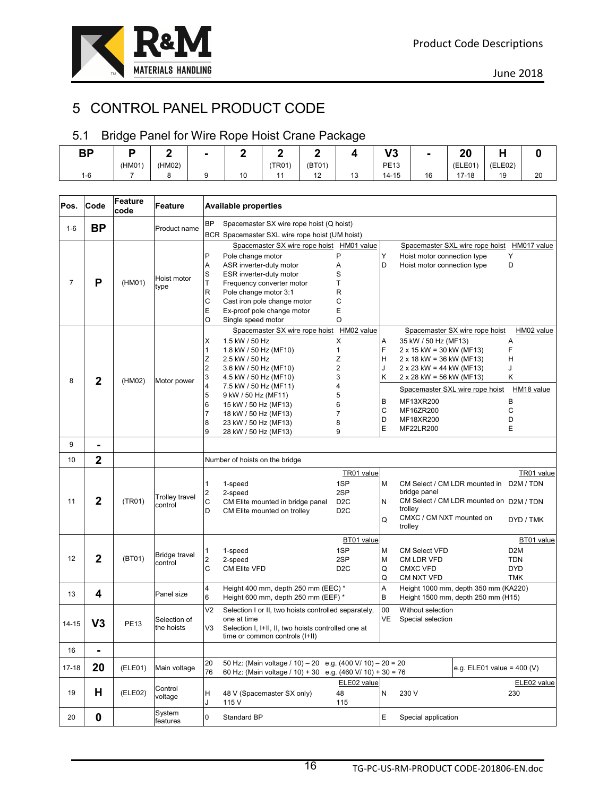

# 5 CONTROL PANEL PRODUCT CODE

### 5.1 Bridge Panel for Wire Rope Hoist Crane Package

| nn<br>n i |        |        |    |             |                          |           | הו ו<br>ับ  | ٠  | n,<br>ZV         |           |    |
|-----------|--------|--------|----|-------------|--------------------------|-----------|-------------|----|------------------|-----------|----|
|           | (HM01) | (HM02) |    | <b>TR01</b> | (BT01)                   |           | <b>PE13</b> |    | F(1)<br>, CLLU ' | (ELE02)   |    |
| 1-6       |        |        | 10 |             | $\overline{a}$<br>$\sim$ | 10<br>ں ، | $14 - 15$   | 16 | 40<br>17-18      | 10<br>. J | 20 |

| Pos.      | Code           | Feature<br>code | Feature                    | <b>Available properties</b>                                                                                                                                                                                                                                                                                                                                                                                                                                                                                                                                                                                                                                                                                                                                                           |                                                                          |
|-----------|----------------|-----------------|----------------------------|---------------------------------------------------------------------------------------------------------------------------------------------------------------------------------------------------------------------------------------------------------------------------------------------------------------------------------------------------------------------------------------------------------------------------------------------------------------------------------------------------------------------------------------------------------------------------------------------------------------------------------------------------------------------------------------------------------------------------------------------------------------------------------------|--------------------------------------------------------------------------|
| $1 - 6$   | <b>BP</b>      |                 | Product name               | <b>BP</b><br>Spacemaster SX wire rope hoist (Q hoist)                                                                                                                                                                                                                                                                                                                                                                                                                                                                                                                                                                                                                                                                                                                                 |                                                                          |
|           |                |                 |                            | BCR Spacemaster SXL wire rope hoist (UM hoist)                                                                                                                                                                                                                                                                                                                                                                                                                                                                                                                                                                                                                                                                                                                                        |                                                                          |
| 7         | P              | (HM01)          | Hoist motor<br>type        | Spacemaster SX wire rope hoist HM01 value<br>Spacemaster SXL wire rope hoist<br>P<br>P<br>Υ<br>Υ<br>Pole change motor<br>Hoist motor connection type<br>D<br>ASR inverter-duty motor<br>А<br>D<br>Α<br>Hoist motor connection type<br>S<br>S<br>ESR inverter-duty motor<br>T<br>T<br>Frequency converter motor<br>$\mathsf R$<br>R<br>Pole change motor 3:1<br>C<br>C<br>Cast iron pole change motor<br>E<br>E<br>Ex-proof pole change motor<br>O<br>O<br>Single speed motor<br>Spacemaster SX wire rope hoist<br>HM02 value                                                                                                                                                                                                                                                          | HM017 value                                                              |
| 8         | $\mathbf{2}$   | (HM02)          | Motor power                | Spacemaster SX wire rope hoist<br>X<br>1.5 kW / 50 Hz<br>X<br>Α<br>35 kW / 50 Hz (MF13)<br>Α<br>F<br>F<br>1.8 kW / 50 Hz (MF10)<br>1<br>$2 \times 15$ kW = 30 kW (MF13)<br>1<br>Ζ<br>Ζ<br>2.5 kW / 50 Hz<br>$2 \times 18$ kW = 36 kW (MF13)<br>Н<br>H<br>$\overline{2}$<br>2<br>$2 \times 23$ kW = 44 kW (MF13)<br>3.6 kW / 50 Hz (MF10)<br>J<br>3<br>3<br>Κ<br>4.5 kW / 50 Hz (MF10)<br>Κ<br>$2 \times 28$ kW = 56 kW (MF13)<br>$\overline{4}$<br>4<br>7.5 kW / 50 Hz (MF11)<br>Spacemaster SXL wire rope hoist<br>5<br>5<br>9 kW / 50 Hz (MF11)<br>MF13XR200<br>В<br>B<br>6<br>6<br>15 kW / 50 Hz (MF13)<br>C<br>MF16ZR200<br>С<br>7<br>7<br>18 kW / 50 Hz (MF13)<br>D<br>D<br>MF18XR200<br>8<br>8<br>23 kW / 50 Hz (MF13)<br>E<br>Е<br>MF22LR200<br>9<br>9<br>28 kW / 50 Hz (MF13) | HM02 value<br>HM18 value                                                 |
| 9         | $\blacksquare$ |                 |                            |                                                                                                                                                                                                                                                                                                                                                                                                                                                                                                                                                                                                                                                                                                                                                                                       |                                                                          |
| 10        | $\overline{2}$ |                 |                            | Number of hoists on the bridge                                                                                                                                                                                                                                                                                                                                                                                                                                                                                                                                                                                                                                                                                                                                                        |                                                                          |
| 11        | $\overline{2}$ | (TR01)          | Trolley travel<br>control  | TR01 value<br>$\mathbf{1}$<br>1SP<br>1-speed<br>M<br>CM Select / CM LDR mounted in D2M / TDN<br>$\overline{2}$<br>bridge panel<br>2SP<br>2-speed<br>C<br>CM Select / CM LDR mounted on D2M / TDN<br>D <sub>2</sub> C<br>N<br>CM Elite mounted in bridge panel                                                                                                                                                                                                                                                                                                                                                                                                                                                                                                                         | TR01 value                                                               |
|           |                |                 |                            | trolley<br>D<br>CM Elite mounted on trolley<br>D <sub>2</sub> C<br>CMXC / CM NXT mounted on<br>Q<br>trolley                                                                                                                                                                                                                                                                                                                                                                                                                                                                                                                                                                                                                                                                           | DYD / TMK                                                                |
| 12        | $\overline{2}$ | (BT01)          | Bridge travel<br>control   | BT01 value<br>1SP<br>M<br>$\mathbf{1}$<br>1-speed<br><b>CM Select VFD</b><br>$\overline{2}$<br>2-speed<br>2SP<br><b>M</b><br>CM LDR VFD<br>C<br>CM Elite VFD<br>D <sub>2</sub> C<br>Q<br><b>CMXC VFD</b><br>Q<br>CM NXT VFD                                                                                                                                                                                                                                                                                                                                                                                                                                                                                                                                                           | BT01 value<br>D <sub>2</sub> M<br><b>TDN</b><br><b>DYD</b><br><b>TMK</b> |
| 13        | 4              |                 | Panel size                 | $\overline{4}$<br>A<br>Height 400 mm, depth 250 mm (EEC) *<br>Height 1000 mm, depth 350 mm (KA220)<br>6<br>Height 600 mm, depth 250 mm (EEF) *<br>Height 1500 mm, depth 250 mm (H15)<br>B                                                                                                                                                                                                                                                                                                                                                                                                                                                                                                                                                                                             |                                                                          |
| 14-15     | V <sub>3</sub> | <b>PE13</b>     | Selection of<br>the hoists | V <sub>2</sub><br>Selection I or II, two hoists controlled separately,<br>00<br>Without selection<br>one at time<br>VE<br>Special selection<br>V3<br>Selection I, I+II, II, two hoists controlled one at<br>time or common controls (I+II)                                                                                                                                                                                                                                                                                                                                                                                                                                                                                                                                            |                                                                          |
| 16        | $\blacksquare$ |                 |                            |                                                                                                                                                                                                                                                                                                                                                                                                                                                                                                                                                                                                                                                                                                                                                                                       |                                                                          |
| $17 - 18$ | 20             | (ELE01)         | Main voltage               | 20<br>50 Hz: (Main voltage / 10) - 20 e.g. (400 V/ 10) - 20 = 20<br>e.g. ELE01 value = $400 (V)$<br>76<br>60 Hz: (Main voltage / 10) + 30 e.g. (460 V/ 10) + 30 = 76                                                                                                                                                                                                                                                                                                                                                                                                                                                                                                                                                                                                                  |                                                                          |
| 19        | н              | (ELE02)         | Control<br>voltage         | ELE02 value<br>H<br>48<br>N<br>230 V<br>230<br>48 V (Spacemaster SX only)<br>J<br>115<br>115 V                                                                                                                                                                                                                                                                                                                                                                                                                                                                                                                                                                                                                                                                                        | ELE02 value                                                              |
| 20        | 0              |                 | System<br>features         | $\mathsf 0$<br>Standard BP<br>Е<br>Special application                                                                                                                                                                                                                                                                                                                                                                                                                                                                                                                                                                                                                                                                                                                                |                                                                          |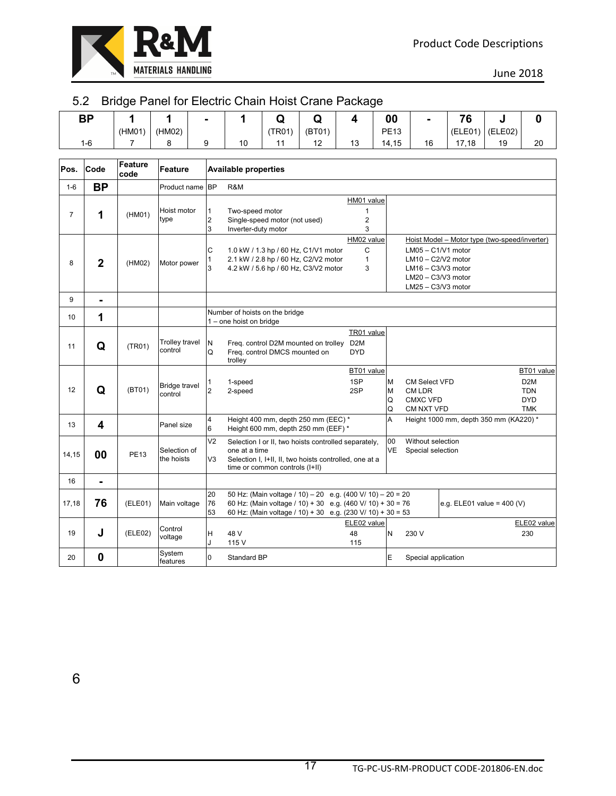

### 5.2 Bridge Panel for Electric Chain Hoist Crane Package

| <b>BP</b><br>— - |        |        |    |             |                |    | 00          | $\blacksquare$ | 70<br>v |         |    |
|------------------|--------|--------|----|-------------|----------------|----|-------------|----------------|---------|---------|----|
|                  | (HM01) | (HM02) |    | <b>TR01</b> | (BT01)         |    | <b>PE13</b> |                | (ELE01) | (ELE02) |    |
| $1 - 6$          |        |        | 10 |             | $\overline{ }$ | 13 | 14,15       | 16             | 17,18   | 19      | 20 |

| Pos.           | Code           | Feature<br>code | Feature                         | <b>Available properties</b>                                                                                                                                                                                                                                                                                                                     |
|----------------|----------------|-----------------|---------------------------------|-------------------------------------------------------------------------------------------------------------------------------------------------------------------------------------------------------------------------------------------------------------------------------------------------------------------------------------------------|
| $1-6$          | <b>BP</b>      |                 | Product name                    | <b>BP</b><br>R&M                                                                                                                                                                                                                                                                                                                                |
| $\overline{7}$ | 1              | (HM01)          | Hoist motor<br>type             | HM01 value<br>1<br>Two-speed motor<br>$\boldsymbol{2}$<br>Single-speed motor (not used)<br>2<br>3<br>3<br>Inverter-duty motor                                                                                                                                                                                                                   |
| 8              | $\overline{2}$ | (HM02)          | Motor power                     | HM02 value<br>Hoist Model - Motor type (two-speed/inverter)<br>C<br>$LM05 - C1/V1$ motor<br>С<br>1.0 kW / 1.3 hp / 60 Hz, C1/V1 motor<br>2.1 kW / 2.8 hp / 60 Hz, C2/V2 motor<br>$\mathbf{1}$<br>$LM10 - C2/V2$ motor<br>3<br>4.2 kW / 5.6 hp / 60 Hz, C3/V2 motor<br>3<br>$LM16 - C3/V3 motor$<br>$LM20 - C3/V3 motor$<br>$LM25 - C3/V3 motor$ |
| 9              | $\blacksquare$ |                 |                                 |                                                                                                                                                                                                                                                                                                                                                 |
| 10             | 1              |                 |                                 | Number of hoists on the bridge<br>1 – one hoist on bridge                                                                                                                                                                                                                                                                                       |
| 11             | Q              | (TR01)          | Trolley travel<br>control       | TR01 value<br>N<br>D <sub>2</sub> M<br>Freg. control D2M mounted on trolley<br>Q<br><b>DYD</b><br>Freq. control DMCS mounted on<br>trolley                                                                                                                                                                                                      |
| 12             | Q              | (BT01)          | <b>Bridge travel</b><br>control | BT01 value<br>BT01 value<br>1SP<br>M<br><b>CM Select VFD</b><br>D <sub>2</sub> M<br>1-speed<br>$\overline{2}$<br>2SP<br>M<br>2-speed<br><b>CM LDR</b><br><b>TDN</b><br><b>DYD</b><br>Q<br><b>CMXC VFD</b><br>Q<br>CM NXT VFD<br><b>TMK</b>                                                                                                      |
| 13             | 4              |                 | Panel size                      | Height 400 mm, depth 250 mm (EEC) *<br>A<br>Height 1000 mm, depth 350 mm (KA220) *<br>4<br>6<br>Height 600 mm, depth 250 mm (EEF) *                                                                                                                                                                                                             |
| 14,15          | 00             | <b>PE13</b>     | Selection of<br>the hoists      | V <sub>2</sub><br>00<br>Without selection<br>Selection I or II, two hoists controlled separately,<br><b>VE</b><br>one at a time<br>Special selection<br>V3<br>Selection I, I+II, II, two hoists controlled, one at a<br>time or common controls (I+II)                                                                                          |
| 16             | -              |                 |                                 |                                                                                                                                                                                                                                                                                                                                                 |
| 17,18          | 76             | (ELE01)         | Main voltage                    | 20<br>50 Hz: (Main voltage / 10) - 20 e.g. (400 V/ 10) - 20 = 20<br>76<br>60 Hz: (Main voltage / 10) + 30 e.g. (460 V/ 10) + 30 = 76<br>e.g. ELE01 value = $400 (V)$<br>53<br>60 Hz: (Main voltage / 10) + 30 e.g. (230 V/ 10) + 30 = 53                                                                                                        |
| 19             | J              | (ELE02)         | Control<br>voltage              | ELE02 value<br>ELE02 value<br>48<br>N<br>230<br>48 V<br>230 V<br>H<br>J<br>115 V<br>115                                                                                                                                                                                                                                                         |
| 20             | 0              |                 | System<br>features              | E<br>$\Omega$<br>Standard BP<br>Special application                                                                                                                                                                                                                                                                                             |

6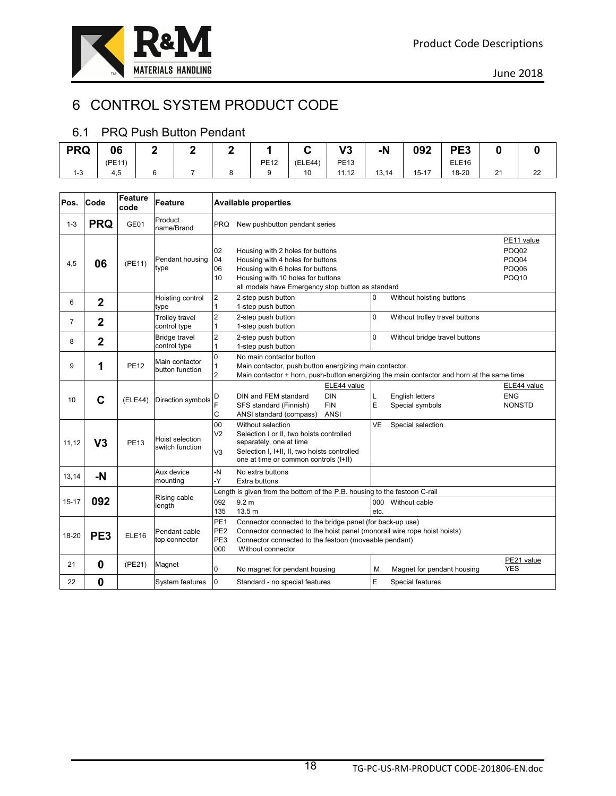

# 6 CONTROL SYSTEM PRODUCT CODE

#### 6.1 PRQ Push Button Pendant

| <b>PRQ</b> | 06     |  |             |         | V2<br>79.   | $-N$  | 092       | PE <sub>3</sub>   |              |          |
|------------|--------|--|-------------|---------|-------------|-------|-----------|-------------------|--------------|----------|
|            | (PE11) |  | <b>PE12</b> | (ELE44) | <b>PE13</b> |       |           | ELE <sub>16</sub> |              |          |
| $1 - 3$    | 4,5    |  |             | 10      | 11,12       | 13,14 | $15 - 17$ | 18-20             | 21<br>$\sim$ | າາ<br>∠∠ |

| Pos.           | Code            | <b>Feature</b><br>code | <b>Feature</b>                        |                                                  | <b>Available properties</b>                                                                                                                                                                                         |             |                                           |                                                            |
|----------------|-----------------|------------------------|---------------------------------------|--------------------------------------------------|---------------------------------------------------------------------------------------------------------------------------------------------------------------------------------------------------------------------|-------------|-------------------------------------------|------------------------------------------------------------|
| $1 - 3$        | <b>PRQ</b>      | GE01                   | Product<br>name/Brand                 | <b>PRQ</b>                                       | New pushbutton pendant series                                                                                                                                                                                       |             |                                           |                                                            |
| 4,5            | 06              | (PE11)                 | Pendant housing<br>type               | 02<br>04<br>06<br>10                             | Housing with 2 holes for buttons<br>Housing with 4 holes for buttons<br>Housing with 6 holes for buttons<br>Housing with 10 holes for buttons<br>all models have Emergency stop button as standard                  |             |                                           | PE11 value<br>POQ02<br>POQ04<br>POQ06<br>POQ <sub>10</sub> |
| 6              | $\overline{2}$  |                        | Hoisting control<br>type              | $\overline{2}$<br>1                              | 2-step push button<br>1-step push button                                                                                                                                                                            | 0           | Without hoisting buttons                  |                                                            |
| $\overline{7}$ | $\mathbf 2$     |                        | <b>Trolley travel</b><br>control type | $\overline{c}$<br>1                              | 2-step push button<br>1-step push button                                                                                                                                                                            | 0           | Without trolley travel buttons            |                                                            |
| 8              | $\mathbf 2$     |                        | <b>Bridge travel</b><br>control type  | $\overline{\mathbf{c}}$<br>1                     | 2-step push button<br>1-step push button                                                                                                                                                                            | $\Omega$    | Without bridge travel buttons             |                                                            |
| 9              | 1               | <b>PE12</b>            | Main contactor<br>button function     | $\overline{0}$<br>1<br>$\overline{2}$            | No main contactor button<br>Main contactor, push button energizing main contactor.<br>Main contactor + horn, push-button energizing the main contactor and horn at the same time                                    |             |                                           |                                                            |
| 10             | C               | (ELE44)                | Direction symbols                     | D<br>F<br>C                                      | ELE44 value<br><b>DIN</b><br>DIN and FEM standard<br><b>FIN</b><br>SFS standard (Finnish)<br>ANSI standard (compass)<br>ANSI                                                                                        | Г<br>E      | <b>English letters</b><br>Special symbols | ELE44 value<br><b>ENG</b><br><b>NONSTD</b>                 |
| 11,12          | V <sub>3</sub>  | <b>PE13</b>            | Hoist selection<br>switch function    | 00<br>V <sub>2</sub><br>V3                       | Without selection<br>Selection I or II, two hoists controlled<br>separately, one at time<br>Selection I, I+II, II, two hoists controlled<br>one at time or common controls (I+II)                                   | VE          | Special selection                         |                                                            |
| 13,14          | -N              |                        | Aux device<br>mounting                | -N<br>-Y                                         | No extra buttons<br>Extra buttons                                                                                                                                                                                   |             |                                           |                                                            |
| $15 - 17$      | 092             |                        | Rising cable<br>length                | 092<br>135                                       | Length is given from the bottom of the P.B. housing to the festoon C-rail<br>9.2 <sub>m</sub><br>13.5 m                                                                                                             | 000<br>etc. | Without cable                             |                                                            |
| 18-20          | PE <sub>3</sub> | ELE <sub>16</sub>      | Pendant cable<br>top connector        | PE <sub>1</sub><br>PE <sub>2</sub><br>PE3<br>000 | Connector connected to the bridge panel (for back-up use)<br>Connector connected to the hoist panel (monorail wire rope hoist hoists)<br>Connector connected to the festoon (moveable pendant)<br>Without connector |             |                                           |                                                            |
| 21             | $\bf{0}$        | (PE21)                 | Magnet                                | 0                                                | No magnet for pendant housing                                                                                                                                                                                       | М           | Magnet for pendant housing                | PE21 value<br><b>YES</b>                                   |
| 22             | $\bf{0}$        |                        | System features                       | $\overline{0}$                                   | Standard - no special features                                                                                                                                                                                      | E           | Special features                          |                                                            |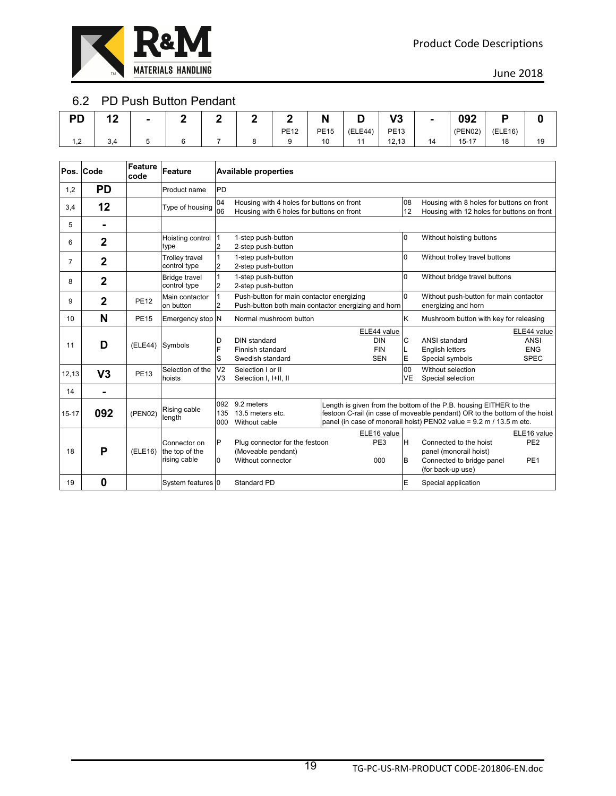

#### 6.2 PD Push Button Pendant

| <b>PD</b> | 40<br>. . | - |  |             | N           |         | ה ו<br>v J  | $\blacksquare$ | ററാ<br>UJZ |         |    |
|-----------|-----------|---|--|-------------|-------------|---------|-------------|----------------|------------|---------|----|
|           |           |   |  | <b>PE12</b> | <b>PE15</b> | (ELE44) | <b>PE13</b> |                | (PEN02)    | (ELE16) |    |
| 1,2       | 3,4       |   |  |             | 10          |         | 12,13       | 14             | $15 - 17$  | 18      | 19 |

|                | Pos. Code      | <b>Feature</b><br>code | Feature                                        |                                  | <b>Available properties</b>                                                                      |                                                       |                 |                                                                                                                                                                                                                        |                                                         |
|----------------|----------------|------------------------|------------------------------------------------|----------------------------------|--------------------------------------------------------------------------------------------------|-------------------------------------------------------|-----------------|------------------------------------------------------------------------------------------------------------------------------------------------------------------------------------------------------------------------|---------------------------------------------------------|
| 1,2            | <b>PD</b>      |                        | Product name                                   | PD                               |                                                                                                  |                                                       |                 |                                                                                                                                                                                                                        |                                                         |
| 3,4            | 12             |                        | Type of housing                                | 04<br>06                         | Housing with 4 holes for buttons on front<br>Housing with 6 holes for buttons on front           |                                                       | 08<br>12        | Housing with 8 holes for buttons on front<br>Housing with 12 holes for buttons on front                                                                                                                                |                                                         |
| 5              | $\blacksquare$ |                        |                                                |                                  |                                                                                                  |                                                       |                 |                                                                                                                                                                                                                        |                                                         |
| 6              | $\overline{2}$ |                        | Hoisting control<br>type                       | 1<br>$\overline{2}$              | 1-step push-button<br>2-step push-button                                                         |                                                       | 0               | Without hoisting buttons                                                                                                                                                                                               |                                                         |
| $\overline{7}$ | $\overline{2}$ |                        | <b>Trolley travel</b><br>control type          | 1<br>2                           | 1-step push-button<br>2-step push-button                                                         |                                                       | 0               | Without trolley travel buttons                                                                                                                                                                                         |                                                         |
| 8              | $\overline{2}$ |                        | <b>Bridge travel</b><br>control type           | 1<br>2                           | 1-step push-button<br>2-step push-button                                                         |                                                       | 0               | Without bridge travel buttons                                                                                                                                                                                          |                                                         |
| 9              | $\mathbf{2}$   | <b>PE12</b>            | Main contactor<br>on button                    | 1<br>$\overline{2}$              | Push-button for main contactor energizing<br>Push-button both main contactor energizing and horn |                                                       | $\Omega$        | Without push-button for main contactor<br>energizing and horn                                                                                                                                                          |                                                         |
| 10             | N              | <b>PE15</b>            | Emergency stop N                               |                                  | Normal mushroom button                                                                           |                                                       | Κ               | Mushroom button with key for releasing                                                                                                                                                                                 |                                                         |
| 11             | D              | (ELE44)                | Symbols                                        | D<br>F<br>S                      | DIN standard<br>Finnish standard<br>Swedish standard                                             | ELE44 value<br><b>DIN</b><br><b>FIN</b><br><b>SEN</b> | C<br>L<br>E     | ANSI standard<br><b>English letters</b><br>Special symbols                                                                                                                                                             | ELE44 value<br><b>ANSI</b><br><b>ENG</b><br><b>SPEC</b> |
| 12, 13         | V <sub>3</sub> | <b>PE13</b>            | Selection of the<br>hoists                     | V <sub>2</sub><br>V <sub>3</sub> | Selection I or II<br>Selection I, I+II, II                                                       |                                                       | 00<br><b>VE</b> | Without selection<br>Special selection                                                                                                                                                                                 |                                                         |
| 14             | -              |                        |                                                |                                  |                                                                                                  |                                                       |                 |                                                                                                                                                                                                                        |                                                         |
| $15 - 17$      | 092            | (PEN02)                | Rising cable<br>length                         | 092<br>135<br>000                | 9.2 meters<br>13.5 meters etc.<br>Without cable                                                  |                                                       |                 | Length is given from the bottom of the P.B. housing EITHER to the<br>festoon C-rail (in case of moveable pendant) OR to the bottom of the hoist<br>panel (in case of monorail hoist) PEN02 value = 9.2 m / 13.5 m etc. |                                                         |
| 18             | P              | (ELE16)                | Connector on<br>the top of the<br>rising cable | P<br>0                           | Plug connector for the festoon<br>(Moveable pendant)<br>Without connector                        | ELE16 value<br>PE3<br>000                             | H<br>B          | Connected to the hoist<br>panel (monorail hoist)<br>Connected to bridge panel<br>(for back-up use)                                                                                                                     | ELE16 value<br>PE <sub>2</sub><br>PE <sub>1</sub>       |
| 19             | 0              |                        | System features 0                              |                                  | Standard PD                                                                                      |                                                       | E               | Special application                                                                                                                                                                                                    |                                                         |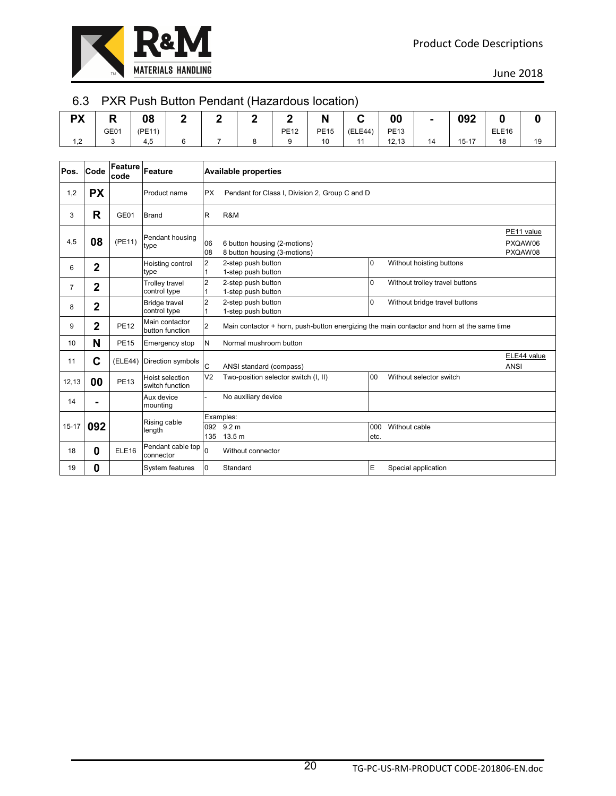

#### 6.3 PXR Push Button Pendant (Hazardous location)

| <b>PX</b>   | P<br>n, | 08     | - |  |             | N           |         | 00          | $\blacksquare$ | 092       |                   |    |
|-------------|---------|--------|---|--|-------------|-------------|---------|-------------|----------------|-----------|-------------------|----|
|             | GE01    | (PE11) |   |  | <b>PE12</b> | <b>PE15</b> | (ELE44) | <b>PE13</b> |                |           | ELE <sub>16</sub> |    |
| 1 2<br>ے, ا | u       | 4,5    |   |  |             | 10          |         | 12,13       | 14             | $15 - 17$ | 18                | 19 |

| Pos.      | Code           | Feature<br>code   | Feature                               |                | <b>Available properties</b>                                                                |             |                                |                                  |
|-----------|----------------|-------------------|---------------------------------------|----------------|--------------------------------------------------------------------------------------------|-------------|--------------------------------|----------------------------------|
| 1,2       | <b>PX</b>      |                   | Product name                          | <b>PX</b>      | Pendant for Class I, Division 2, Group C and D                                             |             |                                |                                  |
| 3         | R              | GE01              | <b>Brand</b>                          | R              | R&M                                                                                        |             |                                |                                  |
| 4,5       | 08             | (PE11)            | Pendant housing<br>type               | 06<br>08       | 6 button housing (2-motions)<br>8 button housing (3-motions)                               |             |                                | PE11 value<br>PXQAW06<br>PXQAW08 |
| 6         | $\mathbf{2}$   |                   | Hoisting control<br>type              | $\overline{2}$ | 2-step push button<br>1-step push button                                                   | 0           | Without hoisting buttons       |                                  |
| 7         | $\overline{2}$ |                   | <b>Trolley travel</b><br>control type | $\overline{2}$ | 2-step push button<br>1-step push button                                                   | 0           | Without trolley travel buttons |                                  |
| 8         | $\overline{2}$ |                   | <b>Bridge travel</b><br>control type  | $\overline{2}$ | 2-step push button<br>1-step push button                                                   | 0           | Without bridge travel buttons  |                                  |
| 9         | $\mathbf{2}$   | <b>PE12</b>       | Main contactor<br>button function     | $\overline{2}$ | Main contactor + horn, push-button energizing the main contactor and horn at the same time |             |                                |                                  |
| 10        | N              | <b>PE15</b>       | Emergency stop                        | N              | Normal mushroom button                                                                     |             |                                |                                  |
| 11        | С              | (ELE44)           | Direction symbols                     | <b>C</b>       | ANSI standard (compass)                                                                    |             |                                | ELE44 value<br><b>ANSI</b>       |
| 12,13     | 00             | <b>PE13</b>       | Hoist selection<br>switch function    | V <sub>2</sub> | Two-position selector switch (I, II)                                                       | 00          | Without selector switch        |                                  |
| 14        |                |                   | Aux device<br>mounting                |                | No auxiliary device                                                                        |             |                                |                                  |
|           |                |                   | Rising cable                          |                | Examples:                                                                                  |             |                                |                                  |
| $15 - 17$ | 092            |                   | length                                | 092<br>135     | 9.2 <sub>m</sub><br>13.5 <sub>m</sub>                                                      | 000<br>etc. | Without cable                  |                                  |
| 18        | 0              | ELE <sub>16</sub> | Pendant cable top<br>connector        | $\overline{0}$ | Without connector                                                                          |             |                                |                                  |
| 19        | 0              |                   | System features                       | $\Omega$       | Standard                                                                                   | E           | Special application            |                                  |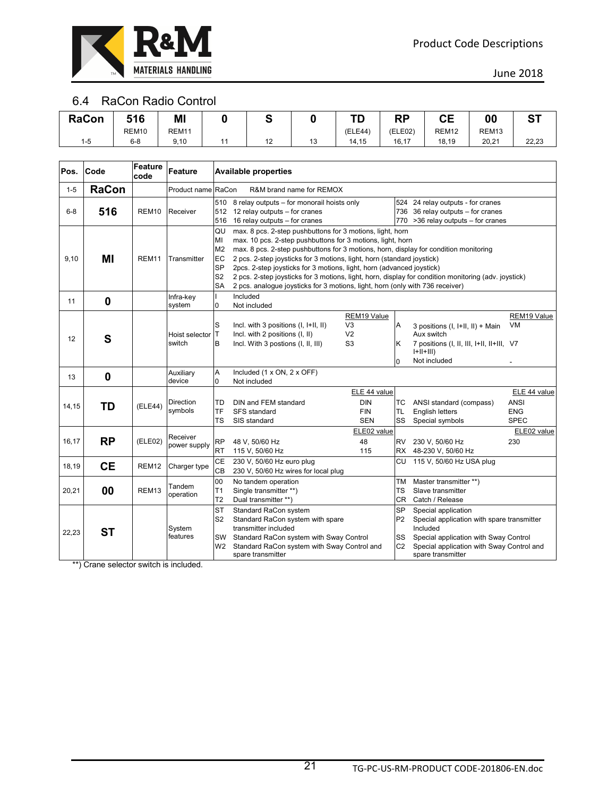

#### 6.4 RaCon Radio Control

| <b>RaCon</b> | 516               | ΜI                | ື |    | ŦГ<br>. . | <b>DD</b><br>rч | $\mathbf{C}$<br>- - | OC                | ~-    |
|--------------|-------------------|-------------------|---|----|-----------|-----------------|---------------------|-------------------|-------|
|              | REM <sub>10</sub> | REM <sub>11</sub> |   |    | (ELE44)   | (ELE02)         | REM <sub>12</sub>   | REM <sub>13</sub> |       |
| -<br>1-5     | $6 - 8$           | 9,10              |   | 13 | 14,15     | 16,17           | 18,19               | 20,21             | 22,23 |

| Pos.    | Code         | Feature<br>code   | Feature                  |                                                                | <b>Available properties</b>                                                                                                                                                                                                                                                                                                                                                                                                                                                                                                                                 |                                                                   |                                                     |                                                                                                                                                                                          |                                                   |  |  |  |  |  |
|---------|--------------|-------------------|--------------------------|----------------------------------------------------------------|-------------------------------------------------------------------------------------------------------------------------------------------------------------------------------------------------------------------------------------------------------------------------------------------------------------------------------------------------------------------------------------------------------------------------------------------------------------------------------------------------------------------------------------------------------------|-------------------------------------------------------------------|-----------------------------------------------------|------------------------------------------------------------------------------------------------------------------------------------------------------------------------------------------|---------------------------------------------------|--|--|--|--|--|
| $1 - 5$ | <b>RaCon</b> |                   | Product name RaCon       |                                                                | R&M brand name for REMOX                                                                                                                                                                                                                                                                                                                                                                                                                                                                                                                                    |                                                                   |                                                     |                                                                                                                                                                                          |                                                   |  |  |  |  |  |
| $6 - 8$ | 516          | REM <sub>10</sub> | Receiver                 | 512<br>516                                                     | 510 8 relay outputs - for monorail hoists only<br>12 relay outputs - for cranes<br>16 relay outputs - for cranes                                                                                                                                                                                                                                                                                                                                                                                                                                            |                                                                   |                                                     | 524 24 relay outputs - for cranes<br>736 36 relay outputs - for cranes<br>770 > 36 relay outputs - for cranes                                                                            |                                                   |  |  |  |  |  |
| 9,10    | ΜI           | REM <sub>11</sub> | Transmitter              | QU<br>MI<br>M <sub>2</sub><br>EC<br>SP<br>S <sub>2</sub><br>SA | max. 8 pcs. 2-step pushbuttons for 3 motions, light, horn<br>max. 10 pcs. 2-step pushbuttons for 3 motions, light, horn<br>max. 8 pcs. 2-step pushbuttons for 3 motions, horn, display for condition monitoring<br>2 pcs. 2-step joysticks for 3 motions, light, horn (standard joystick)<br>2pcs. 2-step joysticks for 3 motions, light, horn (advanced joystick)<br>2 pcs. 2-step joysticks for 3 motions, light, horn, display for condition monitoring (adv. joystick)<br>2 pcs. analogue joysticks for 3 motions, light, horn (only with 736 receiver) |                                                                   |                                                     |                                                                                                                                                                                          |                                                   |  |  |  |  |  |
| 11      | $\mathbf 0$  |                   | Infra-key<br>system      | $\Omega$                                                       | Included<br>Not included                                                                                                                                                                                                                                                                                                                                                                                                                                                                                                                                    |                                                                   |                                                     |                                                                                                                                                                                          |                                                   |  |  |  |  |  |
| 12      | S            |                   | Hoist selector<br>switch | S<br>T.<br>В                                                   | Incl. with 3 positions (I, I+II, II)<br>Incl. with 2 positions (I, II)<br>Incl. With 3 postions (I, II, III)                                                                                                                                                                                                                                                                                                                                                                                                                                                | REM19 Value<br>V <sub>3</sub><br>V <sub>2</sub><br>S <sub>3</sub> | Α<br>Κ<br>0                                         | 3 positions (I, I+II, II) + Main<br>Aux switch<br>7 positions (I, II, III, I+II, II+III, V7<br>$ +  +   )$<br>Not included                                                               | REM19 Value<br>VM                                 |  |  |  |  |  |
| 13      | $\bf{0}$     |                   | Auxiliary<br>device      | A<br>0                                                         | Included (1 x ON, 2 x OFF)<br>Not included                                                                                                                                                                                                                                                                                                                                                                                                                                                                                                                  |                                                                   |                                                     |                                                                                                                                                                                          |                                                   |  |  |  |  |  |
| 14,15   | TD           | (ELE44)           | Direction<br>symbols     | TD<br>TF<br>TS                                                 | DIN and FEM standard<br>SFS standard<br>SIS standard                                                                                                                                                                                                                                                                                                                                                                                                                                                                                                        | ELE 44 value<br><b>DIN</b><br><b>FIN</b><br><b>SEN</b>            | тс<br><b>TL</b><br>SS                               | ANSI standard (compass)<br><b>English letters</b><br>Special symbols                                                                                                                     | ELE 44 value<br>ANSI<br><b>ENG</b><br><b>SPEC</b> |  |  |  |  |  |
| 16,17   | <b>RP</b>    | (ELE02)           | Receiver<br>power supply | <b>RP</b><br>RT                                                | 48 V, 50/60 Hz<br>115 V, 50/60 Hz                                                                                                                                                                                                                                                                                                                                                                                                                                                                                                                           | ELE02 value<br>48<br>115                                          | <b>RV</b><br><b>RX</b>                              | 230 V, 50/60 Hz<br>48-230 V, 50/60 Hz                                                                                                                                                    | ELE02 value<br>230                                |  |  |  |  |  |
| 18,19   | <b>CE</b>    | REM <sub>12</sub> | Charger type             | CE<br>CB                                                       | 230 V, 50/60 Hz euro plug<br>230 V, 50/60 Hz wires for local plug                                                                                                                                                                                                                                                                                                                                                                                                                                                                                           |                                                                   | СU                                                  | 115 V, 50/60 Hz USA plug                                                                                                                                                                 |                                                   |  |  |  |  |  |
| 20,21   | 00           | REM <sub>13</sub> | Tandem<br>operation      | 00<br>T1<br>T <sub>2</sub>                                     | No tandem operation<br>Single transmitter **)<br>Dual transmitter **)                                                                                                                                                                                                                                                                                                                                                                                                                                                                                       |                                                                   | <b>TM</b><br>TS<br><b>CR</b>                        | Master transmitter **)<br>Slave transmitter<br>Catch / Release                                                                                                                           |                                                   |  |  |  |  |  |
| 22,23   | ST           |                   | System<br>features       | <b>ST</b><br>S <sub>2</sub><br>SW<br>W2                        | Standard RaCon system<br>Standard RaCon system with spare<br>transmitter included<br>Standard RaCon system with Sway Control<br>Standard RaCon system with Sway Control and<br>spare transmitter                                                                                                                                                                                                                                                                                                                                                            |                                                                   | <b>SP</b><br>P <sub>2</sub><br>SS<br>C <sub>2</sub> | Special application<br>Special application with spare transmitter<br>Included<br>Special application with Sway Control<br>Special application with Sway Control and<br>spare transmitter |                                                   |  |  |  |  |  |

\*\*) Crane selector switch is included.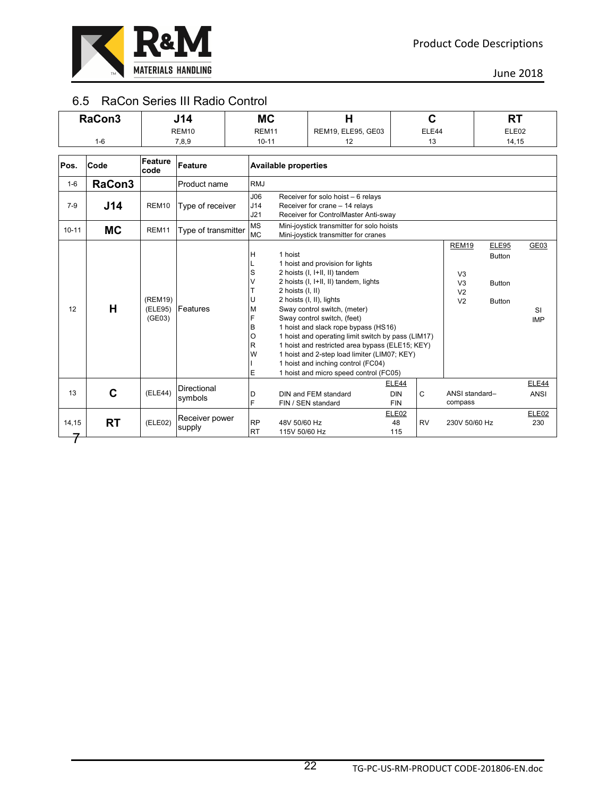

#### 6.5 RaCon Series III Radio Control

|           | RaCon3    |                              | J14                      | <b>MC</b>                                                                                                                         | H                                                                                                                                                                                                                                                                                                                                                                                                                                                                                      |                                   | $\mathbf C$ |                                                                                      | <b>RT</b>                                                       |                                 |
|-----------|-----------|------------------------------|--------------------------|-----------------------------------------------------------------------------------------------------------------------------------|----------------------------------------------------------------------------------------------------------------------------------------------------------------------------------------------------------------------------------------------------------------------------------------------------------------------------------------------------------------------------------------------------------------------------------------------------------------------------------------|-----------------------------------|-------------|--------------------------------------------------------------------------------------|-----------------------------------------------------------------|---------------------------------|
|           |           |                              | REM <sub>10</sub>        | REM11                                                                                                                             | REM19, ELE95, GE03                                                                                                                                                                                                                                                                                                                                                                                                                                                                     |                                   | ELE44       |                                                                                      | ELE02                                                           |                                 |
|           | $1 - 6$   |                              | 7,8,9                    | $10 - 11$                                                                                                                         | 12                                                                                                                                                                                                                                                                                                                                                                                                                                                                                     |                                   | 13          |                                                                                      | 14,15                                                           |                                 |
|           |           |                              |                          |                                                                                                                                   |                                                                                                                                                                                                                                                                                                                                                                                                                                                                                        |                                   |             |                                                                                      |                                                                 |                                 |
| Pos.      | Code      | Feature<br>code              | Feature                  | <b>Available properties</b>                                                                                                       |                                                                                                                                                                                                                                                                                                                                                                                                                                                                                        |                                   |             |                                                                                      |                                                                 |                                 |
| $1-6$     | RaCon3    |                              | Product name             | <b>RMJ</b>                                                                                                                        |                                                                                                                                                                                                                                                                                                                                                                                                                                                                                        |                                   |             |                                                                                      |                                                                 |                                 |
| $7 - 9$   | J14       | REM10                        | Type of receiver         | J06<br>Receiver for solo hoist - 6 relays<br>J14<br>Receiver for crane - 14 relays<br>Receiver for ControlMaster Anti-sway<br>J21 |                                                                                                                                                                                                                                                                                                                                                                                                                                                                                        |                                   |             |                                                                                      |                                                                 |                                 |
| $10 - 11$ | <b>MC</b> | REM11                        | Type of transmitter      | <b>MS</b><br>Mini-joystick transmitter for solo hoists<br><b>MC</b><br>Mini-joystick transmitter for cranes                       |                                                                                                                                                                                                                                                                                                                                                                                                                                                                                        |                                   |             |                                                                                      |                                                                 |                                 |
| 12        | H         | (REM19)<br>(ELE95)<br>(GE03) | Features                 | 1 hoist<br>н<br>S<br>V<br>2 hoists (I, II)<br>U<br>M<br>F<br>B<br>O<br>R<br>W<br>E                                                | 1 hoist and provision for lights<br>2 hoists (I, I+II, II) tandem<br>2 hoists (I, I+II, II) tandem, lights<br>2 hoists (I, II), lights<br>Sway control switch, (meter)<br>Sway control switch, (feet)<br>1 hoist and slack rope bypass (HS16)<br>1 hoist and operating limit switch by pass (LIM17)<br>1 hoist and restricted area bypass (ELE15; KEY)<br>1 hoist and 2-step load limiter (LIM07; KEY)<br>1 hoist and inching control (FC04)<br>1 hoist and micro speed control (FC05) |                                   |             | <b>REM19</b><br>V <sub>3</sub><br>V <sub>3</sub><br>V <sub>2</sub><br>V <sub>2</sub> | <b>ELE95</b><br><b>Button</b><br><b>Button</b><br><b>Button</b> | GE03<br><b>SI</b><br><b>IMP</b> |
| 13        | C         | (ELE44)                      | Directional<br>symbols   | D<br>F                                                                                                                            | DIN and FEM standard<br>FIN / SEN standard                                                                                                                                                                                                                                                                                                                                                                                                                                             | ELE44<br><b>DIN</b><br><b>FIN</b> | C           | ANSI standard-<br>compass                                                            |                                                                 | ELE44<br><b>ANSI</b>            |
| 14,15     | <b>RT</b> | (ELE02)                      | Receiver power<br>supply | <b>RP</b><br>48V 50/60 Hz<br><b>RT</b><br>115V 50/60 Hz                                                                           |                                                                                                                                                                                                                                                                                                                                                                                                                                                                                        | ELE02<br>48<br>115                | <b>RV</b>   | 230V 50/60 Hz                                                                        |                                                                 | ELE02<br>230                    |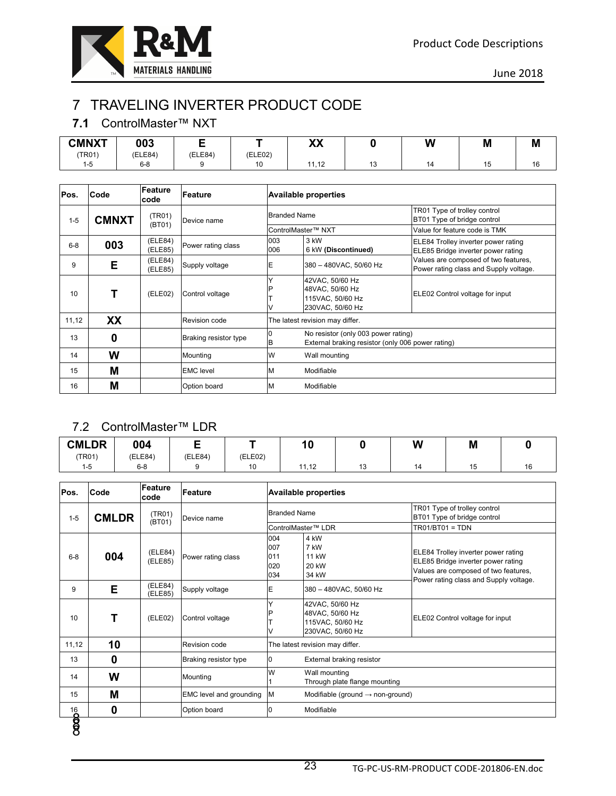

# 7 TRAVELING INVERTER PRODUCT CODE

#### **7.1** ControlMaster™ NXT

| <b>CMNXT</b> | 003     |         |         | vv<br>ΛЛ      |    | W  | M  | M   |
|--------------|---------|---------|---------|---------------|----|----|----|-----|
| (TR01)       | (ELE84) | (ELE84) | (ELE02) |               |    |    |    |     |
| 1-5          | $6 - 8$ |         | 10      | 14 49<br>, 12 | د، | 14 | 15 | , v |

| Pos.    | Code                                    | Feature<br>code    | Feature               |                     | <b>Available properties</b>                                                              |                                                                                |
|---------|-----------------------------------------|--------------------|-----------------------|---------------------|------------------------------------------------------------------------------------------|--------------------------------------------------------------------------------|
| $1 - 5$ | <b>CMNXT</b>                            | (TR01)<br>(BT01)   | Device name           | <b>Branded Name</b> |                                                                                          | TR01 Type of trolley control<br>BT01 Type of bridge control                    |
|         | 003<br>Е<br>9<br>XX<br>0<br>W<br>М<br>М |                    |                       |                     | ControlMaster™ NXT                                                                       | Value for feature code is TMK                                                  |
| $6 - 8$ |                                         | (ELE84)<br>(ELE85) | Power rating class    | 003<br>006          | 3 kW<br>6 kW (Discontinued)                                                              | ELE84 Trolley inverter power rating<br>ELE85 Bridge inverter power rating      |
|         |                                         | (ELE84)<br>(ELE85) | Supply voltage        | Ε                   | 380 - 480VAC, 50/60 Hz                                                                   | Values are composed of two features,<br>Power rating class and Supply voltage. |
| 10      |                                         | (ELE02)            | Control voltage       |                     | 42VAC, 50/60 Hz<br>48VAC, 50/60 Hz<br>115VAC, 50/60 Hz<br>230VAC, 50/60 Hz               | ELE02 Control voltage for input                                                |
| 11,12   |                                         |                    | Revision code         |                     | The latest revision may differ.                                                          |                                                                                |
| 13      |                                         |                    | Braking resistor type | В                   | No resistor (only 003 power rating)<br>External braking resistor (only 006 power rating) |                                                                                |
| 14      |                                         |                    | Mounting              | W                   | Wall mounting                                                                            |                                                                                |
| 15      |                                         |                    | <b>EMC</b> level      | M                   | Modifiable                                                                               |                                                                                |
| 16      |                                         |                    | Option board          | M                   | Modifiable                                                                               |                                                                                |

### 7.2 ControlMaster™ LDR

| <b>CMLDR</b> | 004     |         |         | 1 C   |                                | W  | M   |    |
|--------------|---------|---------|---------|-------|--------------------------------|----|-----|----|
| 'TR01)       | (ELE84) | (ELE84) | (ELE02) |       |                                |    |     |    |
| $1 - 5$      | $6 - 8$ |         | 10      | 11,12 | $\overline{\phantom{a}}$<br>ָט | 14 | 1 J | 16 |

| Pos.           | Code         | Feature<br>code    | Feature                 |                                                                                                                                                                                                                                                                                                                       |                                                             |                                                                                                                                                             |  |  |
|----------------|--------------|--------------------|-------------------------|-----------------------------------------------------------------------------------------------------------------------------------------------------------------------------------------------------------------------------------------------------------------------------------------------------------------------|-------------------------------------------------------------|-------------------------------------------------------------------------------------------------------------------------------------------------------------|--|--|
| $1-5$          | <b>CMLDR</b> | (TR01)<br>(BT01)   | Device name             | <b>Branded Name</b><br>ControlMaster™ LDR<br>004<br>4 kW<br>7 kW<br>007<br>11 kW<br>011<br><b>20 kW</b><br>020<br>34 kW<br>034<br>E<br>380 - 480VAC, 50/60 Hz<br>Y<br>42VAC, 50/60 Hz<br>48VAC, 50/60 Hz<br>115VAC, 50/60 Hz<br>230VAC, 50/60 Hz<br>The latest revision may differ.<br>External braking resistor<br>0 | TR01 Type of trolley control<br>BT01 Type of bridge control |                                                                                                                                                             |  |  |
|                |              |                    |                         |                                                                                                                                                                                                                                                                                                                       | <b>Available properties</b><br>Wall mounting<br>Modifiable  | $TR01/BTO1 = TDN$                                                                                                                                           |  |  |
| $6 - 8$        | 004          | (ELE84)<br>(ELE85) | Power rating class      |                                                                                                                                                                                                                                                                                                                       |                                                             | ELE84 Trolley inverter power rating<br>ELE85 Bridge inverter power rating<br>Values are composed of two features,<br>Power rating class and Supply voltage. |  |  |
| 9              | E            | (ELE84)<br>(ELE85) | Supply voltage          |                                                                                                                                                                                                                                                                                                                       |                                                             |                                                                                                                                                             |  |  |
| 10             |              | (ELE02)            | Control voltage         |                                                                                                                                                                                                                                                                                                                       |                                                             | ELE02 Control voltage for input                                                                                                                             |  |  |
| 11,12          | 10           |                    | Revision code           |                                                                                                                                                                                                                                                                                                                       |                                                             |                                                                                                                                                             |  |  |
| 13             | 0            |                    | Braking resistor type   |                                                                                                                                                                                                                                                                                                                       |                                                             |                                                                                                                                                             |  |  |
| 14             | W            |                    | Mounting                | W                                                                                                                                                                                                                                                                                                                     | Through plate flange mounting                               |                                                                                                                                                             |  |  |
| 15             | M            |                    | EMC level and grounding | M                                                                                                                                                                                                                                                                                                                     | Modifiable (ground $\rightarrow$ non-ground)                |                                                                                                                                                             |  |  |
|                | 0            |                    | Option board            | 0                                                                                                                                                                                                                                                                                                                     |                                                             |                                                                                                                                                             |  |  |
| $\frac{16}{9}$ |              |                    |                         |                                                                                                                                                                                                                                                                                                                       |                                                             |                                                                                                                                                             |  |  |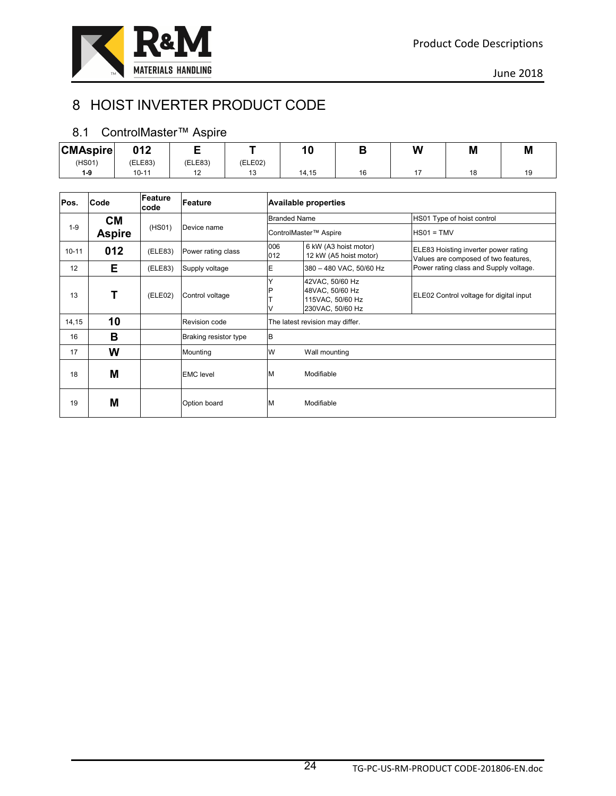

# 8 HOIST INVERTER PRODUCT CODE

#### 8.1 ControlMaster™ Aspire

| <b>CMAspire</b> | 012     |         |         |       |          | W | M | M |
|-----------------|---------|---------|---------|-------|----------|---|---|---|
| (HS01)          | (ELE83) | (ELE83) | (ELE02) |       |          |   |   |   |
| 1-9             | 10-11   | . .     |         | 14,15 | 16<br>טו |   |   |   |

| Pos.      | Code          | Feature<br>code | Feature               |            |                                                                                                                                                                                                                                                                                                                         |                                                                              |
|-----------|---------------|-----------------|-----------------------|------------|-------------------------------------------------------------------------------------------------------------------------------------------------------------------------------------------------------------------------------------------------------------------------------------------------------------------------|------------------------------------------------------------------------------|
|           | <b>CM</b>     |                 |                       |            |                                                                                                                                                                                                                                                                                                                         | HS01 Type of hoist control                                                   |
| $1 - 9$   | <b>Aspire</b> | (HSO1)          | Device name           |            |                                                                                                                                                                                                                                                                                                                         | $HSO1 = TMV$                                                                 |
| $10 - 11$ | 012           | (ELE83)         | Power rating class    | 006<br>012 | <b>Available properties</b><br><b>Branded Name</b><br>ControlMaster™ Aspire<br>6 kW (A3 hoist motor)<br>12 kW (A5 hoist motor)<br>380 - 480 VAC, 50/60 Hz<br>42VAC, 50/60 Hz<br>48VAC, 50/60 Hz<br>115VAC, 50/60 Hz<br>230VAC, 50/60 Hz<br>The latest revision may differ.<br>Wall mounting<br>Modifiable<br>Modifiable | ELE83 Hoisting inverter power rating<br>Values are composed of two features, |
| 12        | E.            | (ELE83)         | Supply voltage        | E          |                                                                                                                                                                                                                                                                                                                         | Power rating class and Supply voltage.                                       |
| 13        |               | (ELE02)         | Control voltage       |            |                                                                                                                                                                                                                                                                                                                         | ELE02 Control voltage for digital input                                      |
| 14, 15    | 10            |                 | Revision code         |            |                                                                                                                                                                                                                                                                                                                         |                                                                              |
| 16        | в             |                 | Braking resistor type | B          |                                                                                                                                                                                                                                                                                                                         |                                                                              |
| 17        | W             |                 | Mounting              | W          |                                                                                                                                                                                                                                                                                                                         |                                                                              |
| 18        | M             |                 | <b>EMC</b> level      | M          |                                                                                                                                                                                                                                                                                                                         |                                                                              |
| 19        | M             |                 | Option board          | M          |                                                                                                                                                                                                                                                                                                                         |                                                                              |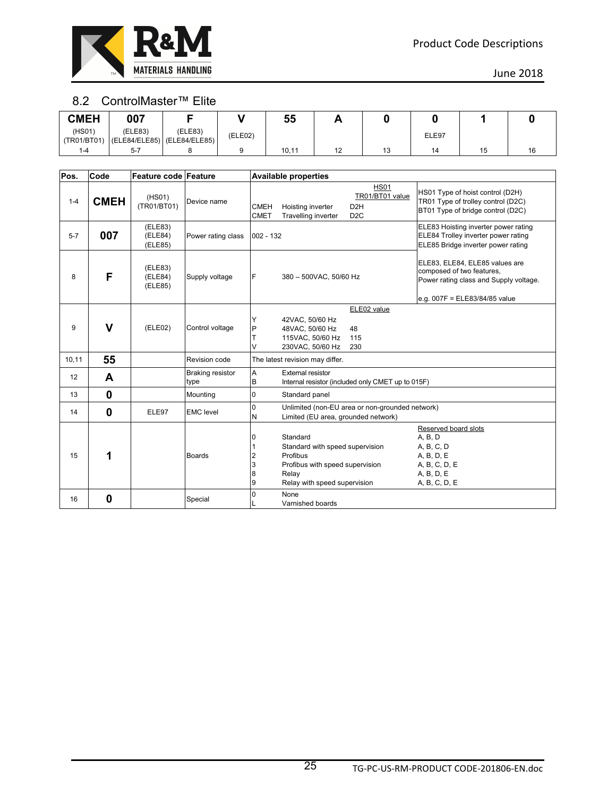

#### 8.2 ControlMaster™ Elite

| <b>CMEH</b>           | 007                                                    |         |         | 55    | <u>гч</u> |    |       |    |  |
|-----------------------|--------------------------------------------------------|---------|---------|-------|-----------|----|-------|----|--|
| (HSO1)<br>(TR01/BT01) | (ELE83)<br>$\vert$ (ELE84/ELE85) $\vert$ (ELE84/ELE85) | (ELE83) | (ELE02) |       |           |    | ELE97 |    |  |
| 1-4                   | $5 - 7$                                                |         |         | 10,11 | 12        | 13 | 14    | 15 |  |

| Pos.    | Code        | Feature code Feature          |                                 |                            | <b>Available properties</b>                                                                                                         |                                                                        |                                                                                                                                        |
|---------|-------------|-------------------------------|---------------------------------|----------------------------|-------------------------------------------------------------------------------------------------------------------------------------|------------------------------------------------------------------------|----------------------------------------------------------------------------------------------------------------------------------------|
| $1 - 4$ | <b>CMEH</b> | (HSO1)<br>(TR01/BT01)         | Device name                     | <b>CMEH</b><br><b>CMET</b> | Hoisting inverter<br>Travelling inverter                                                                                            | <b>HS01</b><br>TR01/BT01 value<br>D <sub>2</sub> H<br>D <sub>2</sub> C | HS01 Type of hoist control (D2H)<br>TR01 Type of trolley control (D2C)<br>BT01 Type of bridge control (D2C)                            |
| $5 - 7$ | 007         | (ELE83)<br>(ELE84)<br>(ELE85) | Power rating class              | $002 - 132$                |                                                                                                                                     |                                                                        | ELE83 Hoisting inverter power rating<br>ELE84 Trolley inverter power rating<br>ELE85 Bridge inverter power rating                      |
| 8       | F           | (ELE83)<br>(ELE84)<br>(ELE85) | Supply voltage                  | F                          | 380 - 500VAC, 50/60 Hz                                                                                                              |                                                                        | ELE83, ELE84, ELE85 values are<br>composed of two features.<br>Power rating class and Supply voltage.<br>e.g. 007F = ELE83/84/85 value |
| 9       | $\mathbf v$ | (ELE02)                       | Control voltage                 | Y<br>P<br>T<br>V           | 42VAC, 50/60 Hz<br>48VAC, 50/60 Hz<br>115VAC, 50/60 Hz<br>230VAC, 50/60 Hz                                                          | ELE02 value<br>48<br>115<br>230                                        |                                                                                                                                        |
| 10,11   | 55          |                               | Revision code                   |                            | The latest revision may differ.                                                                                                     |                                                                        |                                                                                                                                        |
| 12      | A           |                               | <b>Braking resistor</b><br>type | A<br>B                     | <b>External resistor</b>                                                                                                            | Internal resistor (included only CMET up to 015F)                      |                                                                                                                                        |
| 13      | $\mathbf 0$ |                               | Mounting                        | $\overline{0}$             | Standard panel                                                                                                                      |                                                                        |                                                                                                                                        |
| 14      | $\mathbf 0$ | ELE97                         | <b>EMC</b> level                | $\overline{0}$<br>N        | Limited (EU area, grounded network)                                                                                                 | Unlimited (non-EU area or non-grounded network)                        |                                                                                                                                        |
| 15      | 1           |                               | <b>Boards</b>                   | 0<br>2<br>3<br>8<br>9      | Standard<br>Standard with speed supervision<br>Profibus<br>Profibus with speed supervision<br>Relay<br>Relay with speed supervision |                                                                        | Reserved board slots<br>A, B, D<br>A, B, C, D<br>A, B, D, E<br>A, B, C, D, E<br>A, B, D, E<br>A, B, C, D, E                            |
| 16      | 0           |                               | Special                         | 0                          | None<br>Varnished boards                                                                                                            |                                                                        |                                                                                                                                        |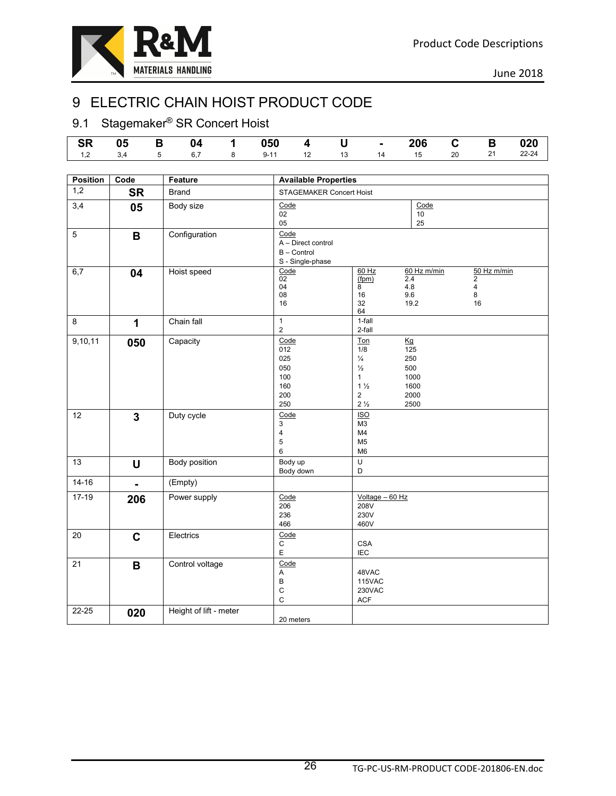

# 9 ELECTRIC CHAIN HOIST PRODUCT CODE

# 9.1 Stagemaker<sup>®</sup> SR Concert Hoist

|  |  | │ SR  05   B  04   1  050  4   U   -  206  C   B  020 │ |  |  |  |  |
|--|--|---------------------------------------------------------|--|--|--|--|
|  |  |                                                         |  |  |  |  |

| <b>Position</b> | Code           | Feature                | <b>Available Properties</b>                                   |                                                                                                                                                                           |                                                                   |
|-----------------|----------------|------------------------|---------------------------------------------------------------|---------------------------------------------------------------------------------------------------------------------------------------------------------------------------|-------------------------------------------------------------------|
| 1,2             | <b>SR</b>      | <b>Brand</b>           | STAGEMAKER Concert Hoist                                      |                                                                                                                                                                           |                                                                   |
| 3,4             | 05             | Body size              | Code<br>02<br>05                                              | Code<br>10 <sup>1</sup><br>25                                                                                                                                             |                                                                   |
| $\overline{5}$  | B              | Configuration          | Code<br>A - Direct control<br>B - Control<br>S - Single-phase |                                                                                                                                                                           |                                                                   |
| 6,7             | 04             | Hoist speed            | Code<br>$\overline{02}$<br>04<br>08<br>16                     | $60$ Hz<br>60 Hz m/min<br>(fpm)<br>2.4<br>$4.8\,$<br>8<br>9.6<br>16<br>19.2<br>32<br>64                                                                                   | 50 Hz m/min<br>$\mathbf{2}$<br>$\overline{\mathbf{4}}$<br>8<br>16 |
| 8               | 1              | Chain fall             | $\mathbf{1}$<br>$\overline{2}$                                | 1-fall<br>2-fall                                                                                                                                                          |                                                                   |
| 9,10,11         | 050            | Capacity               | Code<br>012<br>025<br>050<br>100<br>160<br>200<br>250         | Ton<br>Kg<br>1/8<br>125<br>250<br>$\frac{1}{4}$<br>500<br>$\frac{1}{2}$<br>$\mathbf{1}$<br>1000<br>$1\frac{1}{2}$<br>1600<br>$\sqrt{2}$<br>2000<br>$2\frac{1}{2}$<br>2500 |                                                                   |
| 12              | $\overline{3}$ | Duty cycle             | Code<br>3<br>4<br>5<br>6                                      | <b>ISO</b><br>M <sub>3</sub><br>M4<br>M <sub>5</sub><br>M <sub>6</sub>                                                                                                    |                                                                   |
| 13              | U              | Body position          | Body up<br>Body down                                          | $\cup$<br>D                                                                                                                                                               |                                                                   |
| $14 - 16$       | $\blacksquare$ | (Empty)                |                                                               |                                                                                                                                                                           |                                                                   |
| $17-19$         | 206            | Power supply           | Code<br>206<br>236<br>466                                     | $Voltage - 60 Hz$<br>208V<br>230V<br>460V                                                                                                                                 |                                                                   |
| 20              | $\mathbf c$    | Electrics              | Code<br>$\mathsf C$<br>$\mathsf E$                            | <b>CSA</b><br><b>IEC</b>                                                                                                                                                  |                                                                   |
| 21              | B              | Control voltage        | Code<br>Α<br>B<br>C<br>$\mathsf{C}$                           | 48VAC<br><b>115VAC</b><br><b>230VAC</b><br><b>ACF</b>                                                                                                                     |                                                                   |
| $22 - 25$       | 020            | Height of lift - meter | 20 meters                                                     |                                                                                                                                                                           |                                                                   |